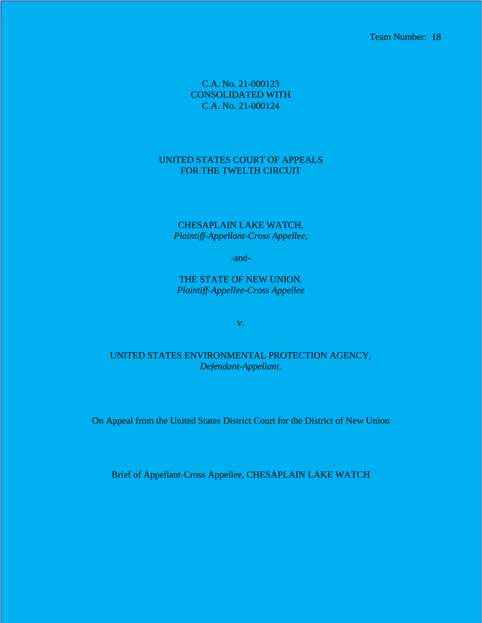Team Number: 18

C.A. No. 21-000123 CONSOLIDATED WITH C.A. No. 21-000124

## UNITED STATES COURT OF APPEALS FOR THE TWELTH CIRCUIT

CHESAPLAIN LAKE WATCH, *Plaintiff-Appellant-Cross Appellee,*

-and-

THE STATE OF NEW UNION, *Plaintiff-Appellee-Cross Appellee*

v.

UNITED STATES ENVIRONMENTAL PROTECTION AGENCY, *Defendant-Appellant*.

On Appeal from the United States District Court for the District of New Union

Brief of Appellant-Cross Appellee, CHESAPLAIN LAKE WATCH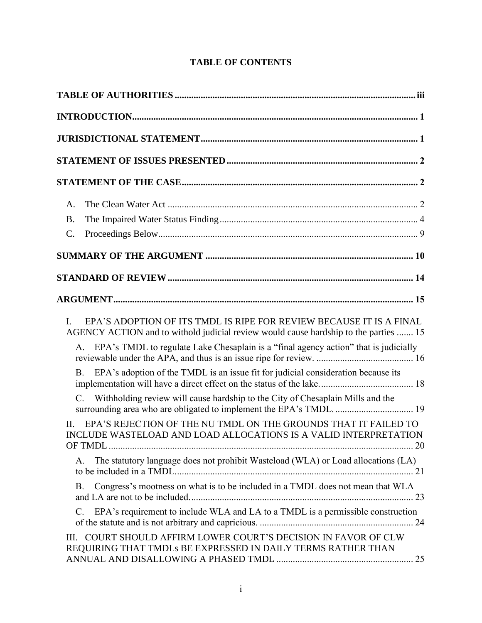# **TABLE OF CONTENTS**

| A.                                                                                                                                                                |
|-------------------------------------------------------------------------------------------------------------------------------------------------------------------|
| <b>B.</b>                                                                                                                                                         |
| $\mathcal{C}$ .                                                                                                                                                   |
|                                                                                                                                                                   |
|                                                                                                                                                                   |
|                                                                                                                                                                   |
| EPA'S ADOPTION OF ITS TMDL IS RIPE FOR REVIEW BECAUSE IT IS A FINAL<br>I.<br>AGENCY ACTION and to withold judicial review would cause hardship to the parties  15 |
| EPA's TMDL to regulate Lake Chesaplain is a "final agency action" that is judicially<br>А.                                                                        |
| EPA's adoption of the TMDL is an issue fit for judicial consideration because its<br><b>B.</b>                                                                    |
| Withholding review will cause hardship to the City of Chesaplain Mills and the<br>C.<br>surrounding area who are obligated to implement the EPA's TMDL 19         |
| EPA'S REJECTION OF THE NU TMDL ON THE GROUNDS THAT IT FAILED TO<br>II.<br>INCLUDE WASTELOAD AND LOAD ALLOCATIONS IS A VALID INTERPRETATION                        |
| The statutory language does not prohibit Wasteload (WLA) or Load allocations (LA)<br>Α.                                                                           |
| Congress's mootness on what is to be included in a TMDL does not mean that WLA<br><b>B.</b>                                                                       |
| EPA's requirement to include WLA and LA to a TMDL is a permissible construction<br>$\mathcal{C}$ .                                                                |
| COURT SHOULD AFFIRM LOWER COURT'S DECISION IN FAVOR OF CLW<br>III.<br>REQUIRING THAT TMDLS BE EXPRESSED IN DAILY TERMS RATHER THAN                                |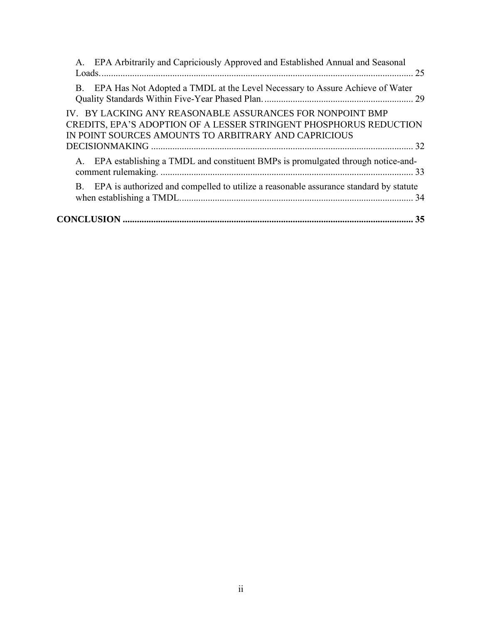| A. EPA Arbitrarily and Capriciously Approved and Established Annual and Seasonal                                                                                                        |
|-----------------------------------------------------------------------------------------------------------------------------------------------------------------------------------------|
| EPA Has Not Adopted a TMDL at the Level Necessary to Assure Achieve of Water<br>B.                                                                                                      |
| IV. BY LACKING ANY REASONABLE ASSURANCES FOR NONPOINT BMP<br>CREDITS, EPA'S ADOPTION OF A LESSER STRINGENT PHOSPHORUS REDUCTION<br>IN POINT SOURCES AMOUNTS TO ARBITRARY AND CAPRICIOUS |
| A. EPA establishing a TMDL and constituent BMPs is promulgated through notice-and-                                                                                                      |
| B. EPA is authorized and compelled to utilize a reasonable assurance standard by statute                                                                                                |
| 35                                                                                                                                                                                      |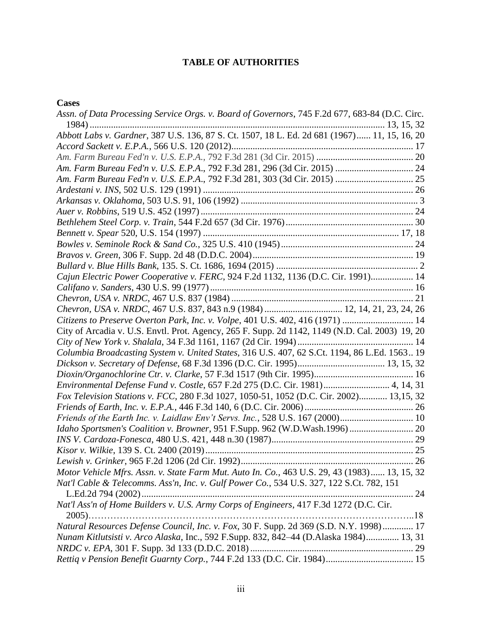# **TABLE OF AUTHORITIES**

#### <span id="page-3-0"></span>**Cases**

| Assn. of Data Processing Service Orgs. v. Board of Governors, 745 F.2d 677, 683-84 (D.C. Circ.  |
|-------------------------------------------------------------------------------------------------|
|                                                                                                 |
| Abbott Labs v. Gardner, 387 U.S. 136, 87 S. Ct. 1507, 18 L. Ed. 2d 681 (1967) 11, 15, 16, 20    |
|                                                                                                 |
|                                                                                                 |
|                                                                                                 |
|                                                                                                 |
|                                                                                                 |
|                                                                                                 |
|                                                                                                 |
|                                                                                                 |
|                                                                                                 |
|                                                                                                 |
|                                                                                                 |
|                                                                                                 |
| Cajun Electric Power Cooperative v. FERC, 924 F.2d 1132, 1136 (D.C. Cir. 1991) 14               |
|                                                                                                 |
|                                                                                                 |
| Chevron, USA v. NRDC, 467 U.S. 837, 843 n.9 (1984)  12, 14, 21, 23, 24, 26                      |
| Citizens to Preserve Overton Park, Inc. v. Volpe, 401 U.S. 402, 416 (1971)  14                  |
| City of Arcadia v. U.S. Envtl. Prot. Agency, 265 F. Supp. 2d 1142, 1149 (N.D. Cal. 2003) 19, 20 |
|                                                                                                 |
| Columbia Broadcasting System v. United States, 316 U.S. 407, 62 S.Ct. 1194, 86 L.Ed. 1563 19    |
|                                                                                                 |
|                                                                                                 |
| Environmental Defense Fund v. Costle, 657 F.2d 275 (D.C. Cir. 1981) 4, 14, 31                   |
| Fox Television Stations v. FCC, 280 F.3d 1027, 1050-51, 1052 (D.C. Cir. 2002) 13,15, 32         |
|                                                                                                 |
| Friends of the Earth Inc. v. Laidlaw Env't Servs. Inc., 528 U.S. 167 (2000) 10                  |
| Idaho Sportsmen's Coalition v. Browner, 951 F.Supp. 962 (W.D.Wash.1996)  20                     |
|                                                                                                 |
|                                                                                                 |
|                                                                                                 |
| Motor Vehicle Mfrs. Assn. v. State Farm Mut. Auto In. Co., 463 U.S. 29, 43 (1983) 13, 15, 32    |
|                                                                                                 |
| Nat'l Cable & Telecomms. Ass'n, Inc. v. Gulf Power Co., 534 U.S. 327, 122 S.Ct. 782, 151        |
| Nat'l Ass'n of Home Builders v. U.S. Army Corps of Engineers, 417 F.3d 1272 (D.C. Cir.          |
|                                                                                                 |
| Natural Resources Defense Council, Inc. v. Fox, 30 F. Supp. 2d 369 (S.D. N.Y. 1998) 17          |
| Nunam Kitlutsisti v. Arco Alaska, Inc., 592 F.Supp. 832, 842–44 (D.Alaska 1984) 13, 31          |
|                                                                                                 |
|                                                                                                 |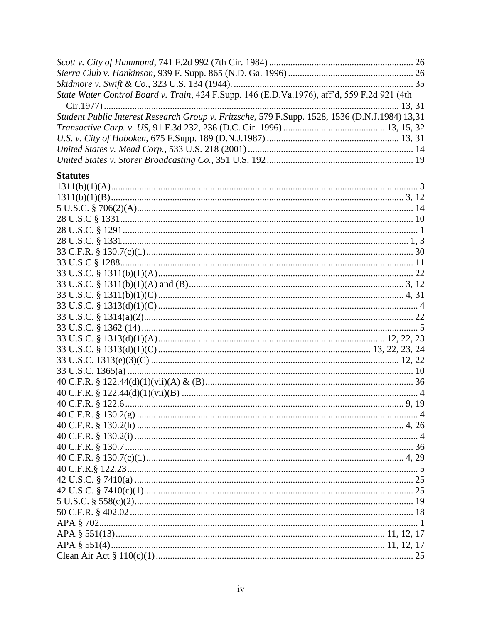| State Water Control Board v. Train, 424 F.Supp. 146 (E.D.Va.1976), aff'd, 559 F.2d 921 (4th    |  |
|------------------------------------------------------------------------------------------------|--|
|                                                                                                |  |
| Student Public Interest Research Group v. Fritzsche, 579 F.Supp. 1528, 1536 (D.N.J.1984) 13,31 |  |
|                                                                                                |  |
|                                                                                                |  |
|                                                                                                |  |
|                                                                                                |  |
| <b>Statutes</b>                                                                                |  |
|                                                                                                |  |
|                                                                                                |  |
|                                                                                                |  |
|                                                                                                |  |
|                                                                                                |  |
|                                                                                                |  |
|                                                                                                |  |
|                                                                                                |  |
|                                                                                                |  |
|                                                                                                |  |
|                                                                                                |  |
|                                                                                                |  |
|                                                                                                |  |
|                                                                                                |  |
|                                                                                                |  |
|                                                                                                |  |
|                                                                                                |  |
|                                                                                                |  |
|                                                                                                |  |
|                                                                                                |  |
|                                                                                                |  |
|                                                                                                |  |
|                                                                                                |  |
|                                                                                                |  |
|                                                                                                |  |
|                                                                                                |  |
|                                                                                                |  |
|                                                                                                |  |
|                                                                                                |  |
|                                                                                                |  |
|                                                                                                |  |
|                                                                                                |  |
|                                                                                                |  |
|                                                                                                |  |
|                                                                                                |  |
|                                                                                                |  |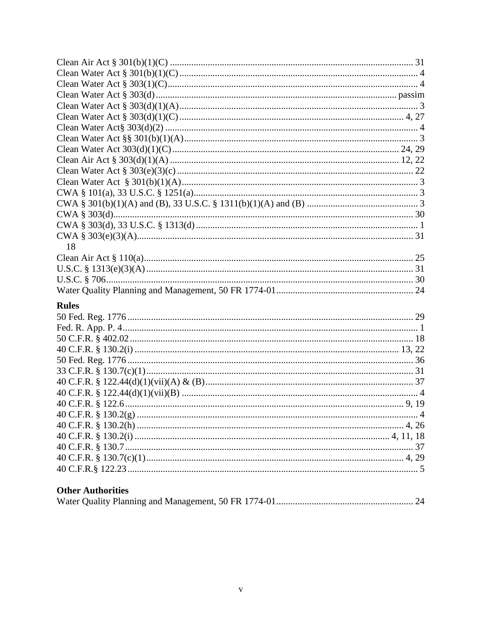| 18                                              |  |
|-------------------------------------------------|--|
|                                                 |  |
|                                                 |  |
|                                                 |  |
|                                                 |  |
| <b>Rules</b>                                    |  |
|                                                 |  |
|                                                 |  |
|                                                 |  |
|                                                 |  |
|                                                 |  |
|                                                 |  |
|                                                 |  |
|                                                 |  |
|                                                 |  |
|                                                 |  |
|                                                 |  |
|                                                 |  |
|                                                 |  |
|                                                 |  |
|                                                 |  |
|                                                 |  |
| $Oth$ <sub>on</sub> $\Lambda$ without $\Lambda$ |  |

# **Other Authorities**

|--|--|--|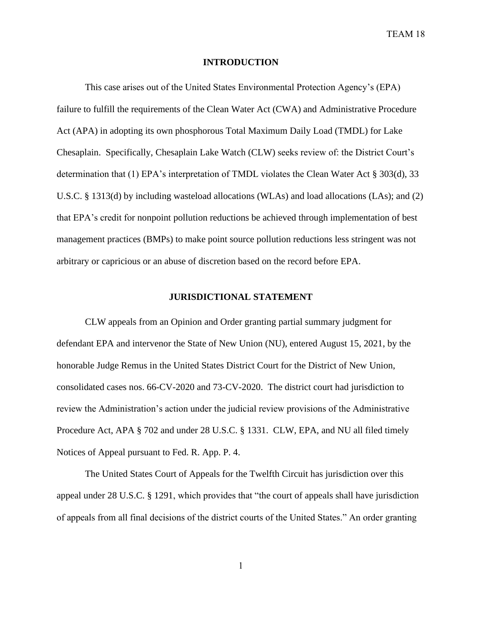#### **INTRODUCTION**

<span id="page-6-0"></span>This case arises out of the United States Environmental Protection Agency's (EPA) failure to fulfill the requirements of the Clean Water Act (CWA) and Administrative Procedure Act (APA) in adopting its own phosphorous Total Maximum Daily Load (TMDL) for Lake Chesaplain. Specifically, Chesaplain Lake Watch (CLW) seeks review of: the District Court's determination that (1) EPA's interpretation of TMDL violates the Clean Water Act § 303(d), 33 U.S.C. § 1313(d) by including wasteload allocations (WLAs) and load allocations (LAs); and (2) that EPA's credit for nonpoint pollution reductions be achieved through implementation of best management practices (BMPs) to make point source pollution reductions less stringent was not arbitrary or capricious or an abuse of discretion based on the record before EPA.

#### **JURISDICTIONAL STATEMENT**

<span id="page-6-1"></span>CLW appeals from an Opinion and Order granting partial summary judgment for defendant EPA and intervenor the State of New Union (NU), entered August 15, 2021, by the honorable Judge Remus in the United States District Court for the District of New Union, consolidated cases nos. 66-CV-2020 and 73-CV-2020. The district court had jurisdiction to review the Administration's action under the judicial review provisions of the Administrative Procedure Act, APA § 702 and under 28 U.S.C. § 1331. CLW, EPA, and NU all filed timely Notices of Appeal pursuant to Fed. R. App. P. 4.

The United States Court of Appeals for the Twelfth Circuit has jurisdiction over this appeal under 28 U.S.C. § 1291, which provides that "the court of appeals shall have jurisdiction of appeals from all final decisions of the district courts of the United States." An order granting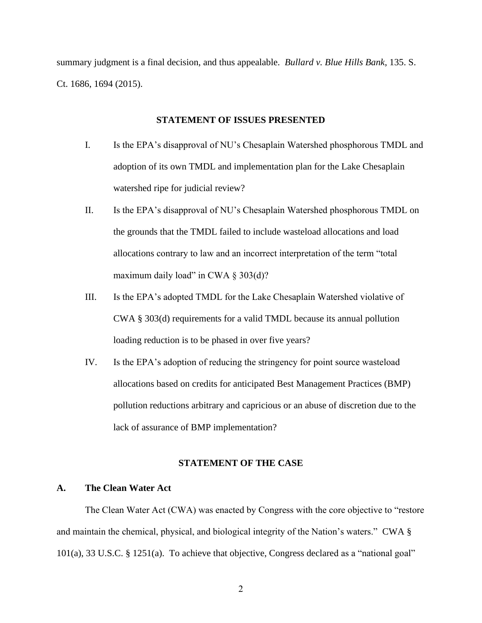<span id="page-7-0"></span>summary judgment is a final decision, and thus appealable. *Bullard v. Blue Hills Bank*, 135. S. Ct. 1686, 1694 (2015).

#### **STATEMENT OF ISSUES PRESENTED**

- I. Is the EPA's disapproval of NU's Chesaplain Watershed phosphorous TMDL and adoption of its own TMDL and implementation plan for the Lake Chesaplain watershed ripe for judicial review?
- II. Is the EPA's disapproval of NU's Chesaplain Watershed phosphorous TMDL on the grounds that the TMDL failed to include wasteload allocations and load allocations contrary to law and an incorrect interpretation of the term "total maximum daily load" in CWA  $\S 303(d)$ ?
- III. Is the EPA's adopted TMDL for the Lake Chesaplain Watershed violative of CWA § 303(d) requirements for a valid TMDL because its annual pollution loading reduction is to be phased in over five years?
- IV. Is the EPA's adoption of reducing the stringency for point source wasteload allocations based on credits for anticipated Best Management Practices (BMP) pollution reductions arbitrary and capricious or an abuse of discretion due to the lack of assurance of BMP implementation?

#### **STATEMENT OF THE CASE**

#### <span id="page-7-2"></span><span id="page-7-1"></span>**A. The Clean Water Act**

The Clean Water Act (CWA) was enacted by Congress with the core objective to "restore and maintain the chemical, physical, and biological integrity of the Nation's waters." CWA § 101(a), 33 U.S.C. § 1251(a). To achieve that objective, Congress declared as a "national goal"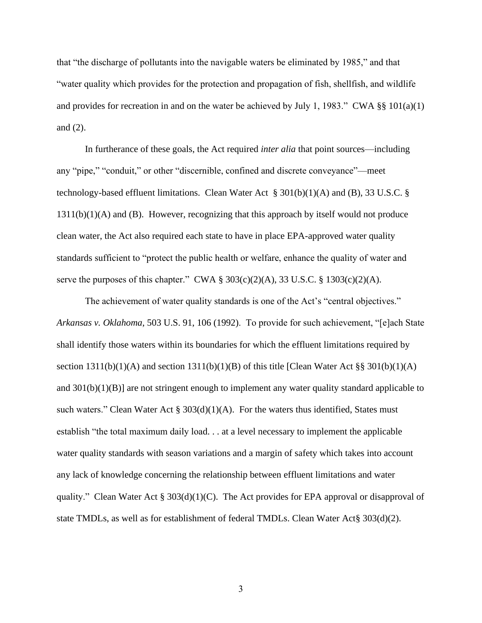that "the discharge of pollutants into the navigable waters be eliminated by 1985," and that "water quality which provides for the protection and propagation of fish, shellfish, and wildlife and provides for recreation in and on the water be achieved by July 1, 1983." CWA  $\S$  101(a)(1) and (2).

In furtherance of these goals, the Act required *inter alia* that point sources—including any "pipe," "conduit," or other "discernible, confined and discrete conveyance"—meet technology-based effluent limitations. Clean Water Act  $\S 301(b)(1)(A)$  and (B), 33 U.S.C. § 1311(b)(1)(A) and (B). However, recognizing that this approach by itself would not produce clean water, the Act also required each state to have in place EPA-approved water quality standards sufficient to "protect the public health or welfare, enhance the quality of water and serve the purposes of this chapter." CWA  $\S 303(c)(2)(A)$ , 33 U.S.C.  $\S 1303(c)(2)(A)$ .

The achievement of water quality standards is one of the Act's "central objectives." *Arkansas v. Oklahoma*, 503 U.S. 91, 106 (1992). To provide for such achievement, "[e]ach State shall identify those waters within its boundaries for which the effluent limitations required by section  $1311(b)(1)(A)$  and section  $1311(b)(1)(B)$  of this title [Clean Water Act §§ 301(b)(1)(A) and  $301(b)(1)(B)$  are not stringent enough to implement any water quality standard applicable to such waters." Clean Water Act  $\S 303(d)(1)(A)$ . For the waters thus identified, States must establish "the total maximum daily load. . . at a level necessary to implement the applicable water quality standards with season variations and a margin of safety which takes into account any lack of knowledge concerning the relationship between effluent limitations and water quality." Clean Water Act  $\S 303(d)(1)(C)$ . The Act provides for EPA approval or disapproval of state TMDLs, as well as for establishment of federal TMDLs. Clean Water Act§ 303(d)(2).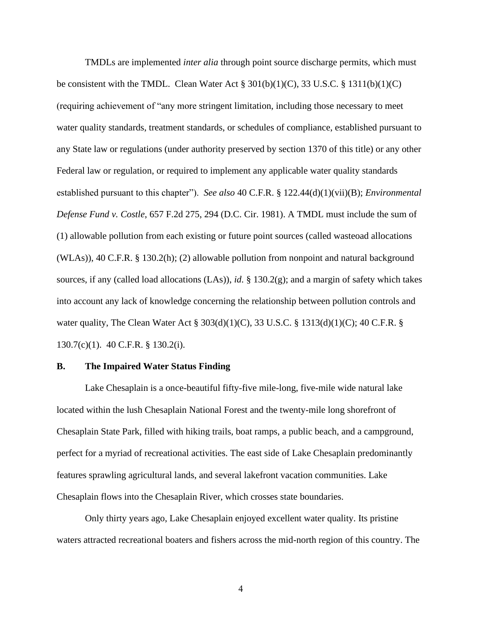TMDLs are implemented *inter alia* through point source discharge permits, which must be consistent with the TMDL. Clean Water Act  $\S 301(b)(1)(C)$ , 33 U.S.C.  $\S 1311(b)(1)(C)$ (requiring achievement of "any more stringent limitation, including those necessary to meet water quality standards, treatment standards, or schedules of compliance, established pursuant to any State law or regulations (under authority preserved by section 1370 of this title) or any other Federal law or regulation, or required to implement any applicable water quality standards established pursuant to this chapter"). *See also* 40 C.F.R. § 122.44(d)(1)(vii)(B); *Environmental Defense Fund v. Costle*, 657 F.2d 275, 294 (D.C. Cir. 1981). A TMDL must include the sum of (1) allowable pollution from each existing or future point sources (called wasteoad allocations (WLAs)), 40 C.F.R. § 130.2(h); (2) allowable pollution from nonpoint and natural background sources, if any (called load allocations (LAs)), *id*. § 130.2(g); and a margin of safety which takes into account any lack of knowledge concerning the relationship between pollution controls and water quality, The Clean Water Act § 303(d)(1)(C), 33 U.S.C. § 1313(d)(1)(C); 40 C.F.R. § 130.7(c)(1). 40 C.F.R. § 130.2(i).

#### <span id="page-9-0"></span>**B. The Impaired Water Status Finding**

Lake Chesaplain is a once-beautiful fifty-five mile-long, five-mile wide natural lake located within the lush Chesaplain National Forest and the twenty-mile long shorefront of Chesaplain State Park, filled with hiking trails, boat ramps, a public beach, and a campground, perfect for a myriad of recreational activities. The east side of Lake Chesaplain predominantly features sprawling agricultural lands, and several lakefront vacation communities. Lake Chesaplain flows into the Chesaplain River, which crosses state boundaries.

Only thirty years ago, Lake Chesaplain enjoyed excellent water quality. Its pristine waters attracted recreational boaters and fishers across the mid-north region of this country. The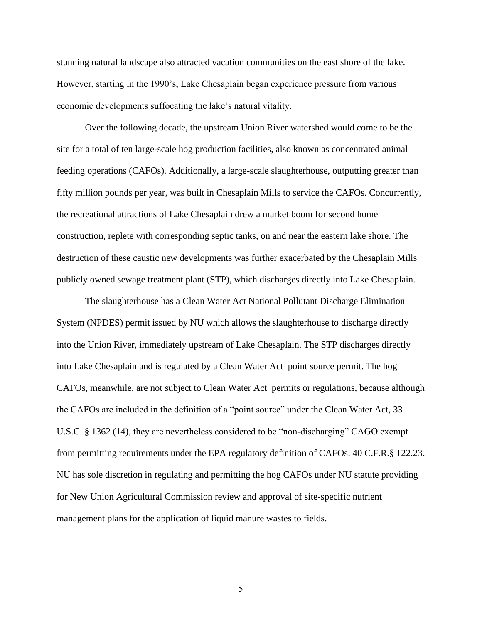stunning natural landscape also attracted vacation communities on the east shore of the lake. However, starting in the 1990's, Lake Chesaplain began experience pressure from various economic developments suffocating the lake's natural vitality.

Over the following decade, the upstream Union River watershed would come to be the site for a total of ten large-scale hog production facilities, also known as concentrated animal feeding operations (CAFOs). Additionally, a large-scale slaughterhouse, outputting greater than fifty million pounds per year, was built in Chesaplain Mills to service the CAFOs. Concurrently, the recreational attractions of Lake Chesaplain drew a market boom for second home construction, replete with corresponding septic tanks, on and near the eastern lake shore. The destruction of these caustic new developments was further exacerbated by the Chesaplain Mills publicly owned sewage treatment plant (STP), which discharges directly into Lake Chesaplain.

The slaughterhouse has a Clean Water Act National Pollutant Discharge Elimination System (NPDES) permit issued by NU which allows the slaughterhouse to discharge directly into the Union River, immediately upstream of Lake Chesaplain. The STP discharges directly into Lake Chesaplain and is regulated by a Clean Water Act point source permit. The hog CAFOs, meanwhile, are not subject to Clean Water Act permits or regulations, because although the CAFOs are included in the definition of a "point source" under the Clean Water Act, 33 U.S.C. § 1362 (14), they are nevertheless considered to be "non-discharging" CAGO exempt from permitting requirements under the EPA regulatory definition of CAFOs. 40 C.F.R.§ 122.23. NU has sole discretion in regulating and permitting the hog CAFOs under NU statute providing for New Union Agricultural Commission review and approval of site-specific nutrient management plans for the application of liquid manure wastes to fields.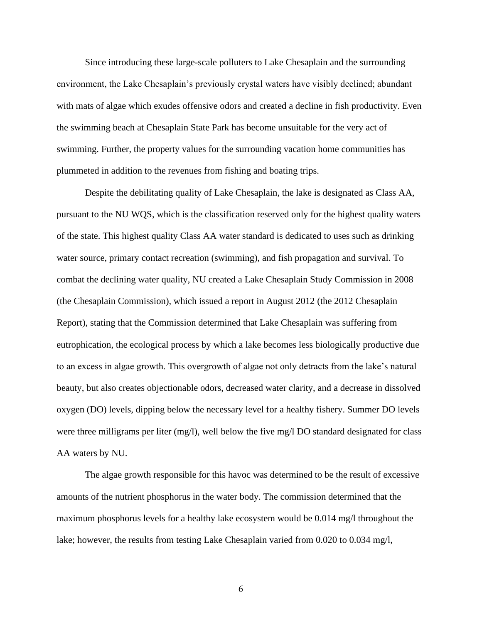Since introducing these large-scale polluters to Lake Chesaplain and the surrounding environment, the Lake Chesaplain's previously crystal waters have visibly declined; abundant with mats of algae which exudes offensive odors and created a decline in fish productivity. Even the swimming beach at Chesaplain State Park has become unsuitable for the very act of swimming. Further, the property values for the surrounding vacation home communities has plummeted in addition to the revenues from fishing and boating trips.

Despite the debilitating quality of Lake Chesaplain, the lake is designated as Class AA, pursuant to the NU WQS, which is the classification reserved only for the highest quality waters of the state. This highest quality Class AA water standard is dedicated to uses such as drinking water source, primary contact recreation (swimming), and fish propagation and survival. To combat the declining water quality, NU created a Lake Chesaplain Study Commission in 2008 (the Chesaplain Commission), which issued a report in August 2012 (the 2012 Chesaplain Report), stating that the Commission determined that Lake Chesaplain was suffering from eutrophication, the ecological process by which a lake becomes less biologically productive due to an excess in algae growth. This overgrowth of algae not only detracts from the lake's natural beauty, but also creates objectionable odors, decreased water clarity, and a decrease in dissolved oxygen (DO) levels, dipping below the necessary level for a healthy fishery. Summer DO levels were three milligrams per liter (mg/l), well below the five mg/l DO standard designated for class AA waters by NU.

The algae growth responsible for this havoc was determined to be the result of excessive amounts of the nutrient phosphorus in the water body. The commission determined that the maximum phosphorus levels for a healthy lake ecosystem would be 0.014 mg/l throughout the lake; however, the results from testing Lake Chesaplain varied from 0.020 to 0.034 mg/l,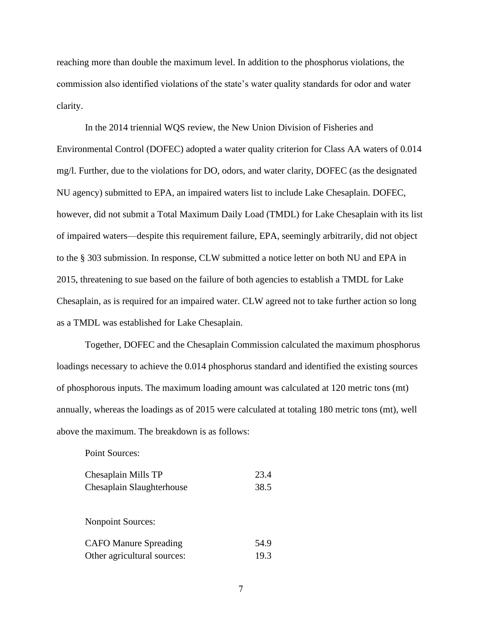reaching more than double the maximum level. In addition to the phosphorus violations, the commission also identified violations of the state's water quality standards for odor and water clarity.

In the 2014 triennial WQS review, the New Union Division of Fisheries and Environmental Control (DOFEC) adopted a water quality criterion for Class AA waters of 0.014 mg/l. Further, due to the violations for DO, odors, and water clarity, DOFEC (as the designated NU agency) submitted to EPA, an impaired waters list to include Lake Chesaplain. DOFEC, however, did not submit a Total Maximum Daily Load (TMDL) for Lake Chesaplain with its list of impaired waters—despite this requirement failure, EPA, seemingly arbitrarily, did not object to the § 303 submission. In response, CLW submitted a notice letter on both NU and EPA in 2015, threatening to sue based on the failure of both agencies to establish a TMDL for Lake Chesaplain, as is required for an impaired water. CLW agreed not to take further action so long as a TMDL was established for Lake Chesaplain.

Together, DOFEC and the Chesaplain Commission calculated the maximum phosphorus loadings necessary to achieve the 0.014 phosphorus standard and identified the existing sources of phosphorous inputs. The maximum loading amount was calculated at 120 metric tons (mt) annually, whereas the loadings as of 2015 were calculated at totaling 180 metric tons (mt), well above the maximum. The breakdown is as follows:

Point Sources:

| Chesaplain Mills TP          | 23.4 |
|------------------------------|------|
| Chesaplain Slaughterhouse    | 38.5 |
|                              |      |
| <b>Nonpoint Sources:</b>     |      |
|                              |      |
| <b>CAFO Manure Spreading</b> | 54.9 |
| Other agricultural sources:  | 19.3 |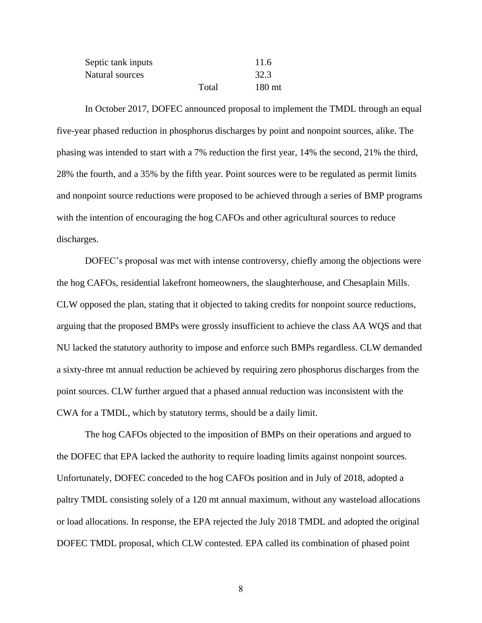| Septic tank inputs |       | 11.6              |
|--------------------|-------|-------------------|
| Natural sources    |       | 32.3              |
|                    | Total | 180 <sub>mt</sub> |

In October 2017, DOFEC announced proposal to implement the TMDL through an equal five-year phased reduction in phosphorus discharges by point and nonpoint sources, alike. The phasing was intended to start with a 7% reduction the first year, 14% the second, 21% the third, 28% the fourth, and a 35% by the fifth year. Point sources were to be regulated as permit limits and nonpoint source reductions were proposed to be achieved through a series of BMP programs with the intention of encouraging the hog CAFOs and other agricultural sources to reduce discharges.

DOFEC's proposal was met with intense controversy, chiefly among the objections were the hog CAFOs, residential lakefront homeowners, the slaughterhouse, and Chesaplain Mills. CLW opposed the plan, stating that it objected to taking credits for nonpoint source reductions, arguing that the proposed BMPs were grossly insufficient to achieve the class AA WQS and that NU lacked the statutory authority to impose and enforce such BMPs regardless. CLW demanded a sixty-three mt annual reduction be achieved by requiring zero phosphorus discharges from the point sources. CLW further argued that a phased annual reduction was inconsistent with the CWA for a TMDL, which by statutory terms, should be a daily limit.

The hog CAFOs objected to the imposition of BMPs on their operations and argued to the DOFEC that EPA lacked the authority to require loading limits against nonpoint sources. Unfortunately, DOFEC conceded to the hog CAFOs position and in July of 2018, adopted a paltry TMDL consisting solely of a 120 mt annual maximum, without any wasteload allocations or load allocations. In response, the EPA rejected the July 2018 TMDL and adopted the original DOFEC TMDL proposal, which CLW contested. EPA called its combination of phased point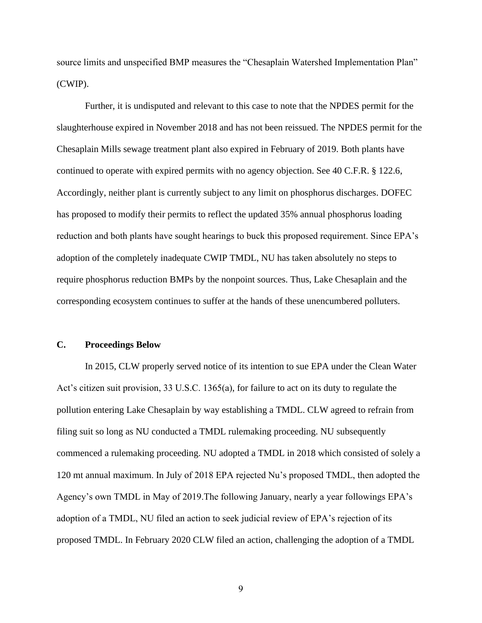source limits and unspecified BMP measures the "Chesaplain Watershed Implementation Plan" (CWIP).

Further, it is undisputed and relevant to this case to note that the NPDES permit for the slaughterhouse expired in November 2018 and has not been reissued. The NPDES permit for the Chesaplain Mills sewage treatment plant also expired in February of 2019. Both plants have continued to operate with expired permits with no agency objection. See 40 C.F.R. § 122.6, Accordingly, neither plant is currently subject to any limit on phosphorus discharges. DOFEC has proposed to modify their permits to reflect the updated 35% annual phosphorus loading reduction and both plants have sought hearings to buck this proposed requirement. Since EPA's adoption of the completely inadequate CWIP TMDL, NU has taken absolutely no steps to require phosphorus reduction BMPs by the nonpoint sources. Thus, Lake Chesaplain and the corresponding ecosystem continues to suffer at the hands of these unencumbered polluters.

### <span id="page-14-0"></span>**C. Proceedings Below**

In 2015, CLW properly served notice of its intention to sue EPA under the Clean Water Act's citizen suit provision, 33 U.S.C. 1365(a), for failure to act on its duty to regulate the pollution entering Lake Chesaplain by way establishing a TMDL. CLW agreed to refrain from filing suit so long as NU conducted a TMDL rulemaking proceeding. NU subsequently commenced a rulemaking proceeding. NU adopted a TMDL in 2018 which consisted of solely a 120 mt annual maximum. In July of 2018 EPA rejected Nu's proposed TMDL, then adopted the Agency's own TMDL in May of 2019.The following January, nearly a year followings EPA's adoption of a TMDL, NU filed an action to seek judicial review of EPA's rejection of its proposed TMDL. In February 2020 CLW filed an action, challenging the adoption of a TMDL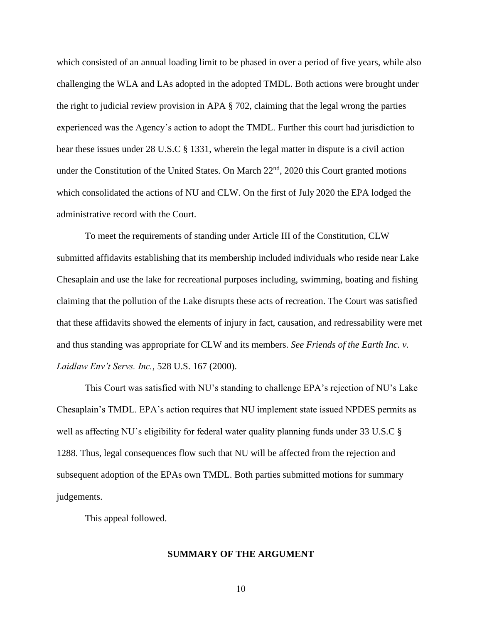which consisted of an annual loading limit to be phased in over a period of five years, while also challenging the WLA and LAs adopted in the adopted TMDL. Both actions were brought under the right to judicial review provision in APA § 702, claiming that the legal wrong the parties experienced was the Agency's action to adopt the TMDL. Further this court had jurisdiction to hear these issues under 28 U.S.C § 1331, wherein the legal matter in dispute is a civil action under the Constitution of the United States. On March  $22<sup>nd</sup>$ , 2020 this Court granted motions which consolidated the actions of NU and CLW. On the first of July 2020 the EPA lodged the administrative record with the Court.

To meet the requirements of standing under Article III of the Constitution, CLW submitted affidavits establishing that its membership included individuals who reside near Lake Chesaplain and use the lake for recreational purposes including, swimming, boating and fishing claiming that the pollution of the Lake disrupts these acts of recreation. The Court was satisfied that these affidavits showed the elements of injury in fact, causation, and redressability were met and thus standing was appropriate for CLW and its members. *See Friends of the Earth Inc. v. Laidlaw Env't Servs. Inc.*, 528 U.S. 167 (2000).

This Court was satisfied with NU's standing to challenge EPA's rejection of NU's Lake Chesaplain's TMDL. EPA's action requires that NU implement state issued NPDES permits as well as affecting NU's eligibility for federal water quality planning funds under 33 U.S.C § 1288. Thus, legal consequences flow such that NU will be affected from the rejection and subsequent adoption of the EPAs own TMDL. Both parties submitted motions for summary judgements.

<span id="page-15-0"></span>This appeal followed.

#### **SUMMARY OF THE ARGUMENT**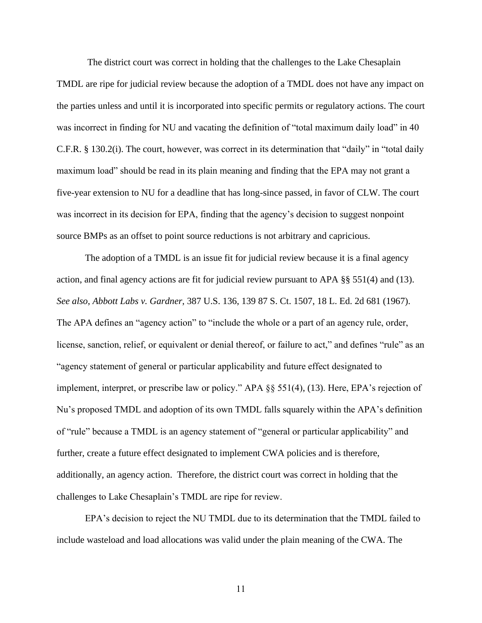The district court was correct in holding that the challenges to the Lake Chesaplain TMDL are ripe for judicial review because the adoption of a TMDL does not have any impact on the parties unless and until it is incorporated into specific permits or regulatory actions. The court was incorrect in finding for NU and vacating the definition of "total maximum daily load" in 40 C.F.R. § 130.2(i). The court, however, was correct in its determination that "daily" in "total daily maximum load" should be read in its plain meaning and finding that the EPA may not grant a five-year extension to NU for a deadline that has long-since passed, in favor of CLW. The court was incorrect in its decision for EPA, finding that the agency's decision to suggest nonpoint source BMPs as an offset to point source reductions is not arbitrary and capricious.

The adoption of a TMDL is an issue fit for judicial review because it is a final agency action, and final agency actions are fit for judicial review pursuant to APA §§ 551(4) and (13). *See also*, *Abbott Labs v. Gardner*, 387 U.S. 136, 139 87 S. Ct. 1507, 18 L. Ed. 2d 681 (1967). The APA defines an "agency action" to "include the whole or a part of an agency rule, order, license, sanction, relief, or equivalent or denial thereof, or failure to act," and defines "rule" as an "agency statement of general or particular applicability and future effect designated to implement, interpret, or prescribe law or policy." APA §§ 551(4), (13). Here, EPA's rejection of Nu's proposed TMDL and adoption of its own TMDL falls squarely within the APA's definition of "rule" because a TMDL is an agency statement of "general or particular applicability" and further, create a future effect designated to implement CWA policies and is therefore, additionally, an agency action. Therefore, the district court was correct in holding that the challenges to Lake Chesaplain's TMDL are ripe for review.

EPA's decision to reject the NU TMDL due to its determination that the TMDL failed to include wasteload and load allocations was valid under the plain meaning of the CWA. The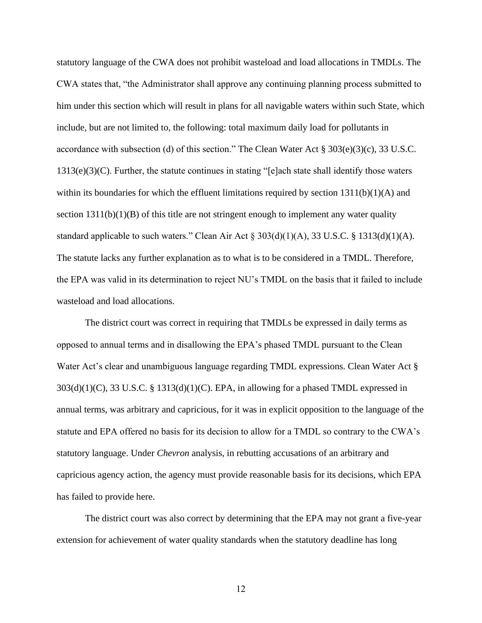statutory language of the CWA does not prohibit wasteload and load allocations in TMDLs. The CWA states that, "the Administrator shall approve any continuing planning process submitted to him under this section which will result in plans for all navigable waters within such State, which include, but are not limited to, the following: total maximum daily load for pollutants in accordance with subsection (d) of this section." The Clean Water Act § 303(e)(3)(c), 33 U.S.C. 1313(e)(3)(C). Further, the statute continues in stating "[e]ach state shall identify those waters within its boundaries for which the effluent limitations required by section  $1311(b)(1)(A)$  and section  $1311(b)(1)(B)$  of this title are not stringent enough to implement any water quality standard applicable to such waters." Clean Air Act  $\S 303(d)(1)(A)$ , 33 U.S.C.  $\S 1313(d)(1)(A)$ . The statute lacks any further explanation as to what is to be considered in a TMDL. Therefore, the EPA was valid in its determination to reject NU's TMDL on the basis that it failed to include wasteload and load allocations.

The district court was correct in requiring that TMDLs be expressed in daily terms as opposed to annual terms and in disallowing the EPA's phased TMDL pursuant to the Clean Water Act's clear and unambiguous language regarding TMDL expressions. Clean Water Act §  $303(d)(1)(C)$ ,  $33 U.S.C.$  §  $1313(d)(1)(C)$ . EPA, in allowing for a phased TMDL expressed in annual terms, was arbitrary and capricious, for it was in explicit opposition to the language of the statute and EPA offered no basis for its decision to allow for a TMDL so contrary to the CWA's statutory language. Under *Chevron* analysis, in rebutting accusations of an arbitrary and capricious agency action, the agency must provide reasonable basis for its decisions, which EPA has failed to provide here.

The district court was also correct by determining that the EPA may not grant a five-year extension for achievement of water quality standards when the statutory deadline has long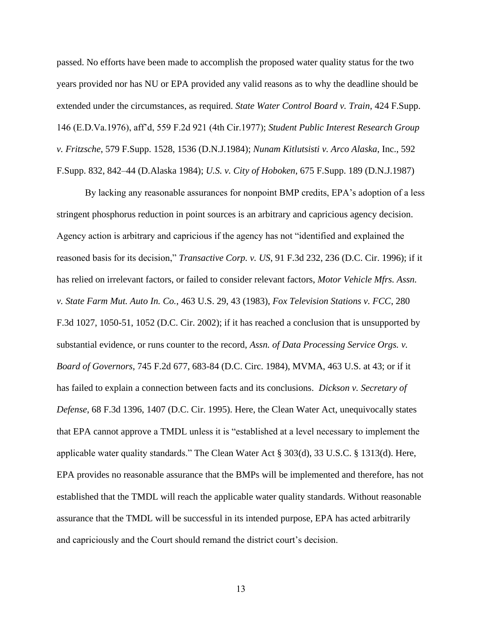passed. No efforts have been made to accomplish the proposed water quality status for the two years provided nor has NU or EPA provided any valid reasons as to why the deadline should be extended under the circumstances, as required. *State Water Control Board v. Train*, 424 F.Supp. 146 (E.D.Va.1976), aff'd, 559 F.2d 921 (4th Cir.1977); *Student Public Interest Research Group v. Fritzsche*, 579 F.Supp. 1528, 1536 (D.N.J.1984); *Nunam Kitlutsisti v. Arco Alaska*, Inc., 592 F.Supp. 832, 842–44 (D.Alaska 1984); *U.S. v. City of Hoboken*, 675 F.Supp. 189 (D.N.J.1987)

By lacking any reasonable assurances for nonpoint BMP credits, EPA's adoption of a less stringent phosphorus reduction in point sources is an arbitrary and capricious agency decision. Agency action is arbitrary and capricious if the agency has not "identified and explained the reasoned basis for its decision," *Transactive Corp. v. US*, 91 F.3d 232, 236 (D.C. Cir. 1996); if it has relied on irrelevant factors, or failed to consider relevant factors, *Motor Vehicle Mfrs. Assn. v. State Farm Mut. Auto In. Co.*, 463 U.S. 29, 43 (1983), *Fox Television Stations v. FCC*, 280 F.3d 1027, 1050-51, 1052 (D.C. Cir. 2002); if it has reached a conclusion that is unsupported by substantial evidence, or runs counter to the record, *Assn. of Data Processing Service Orgs. v. Board of Governors*, 745 F.2d 677, 683-84 (D.C. Circ. 1984), MVMA, 463 U.S. at 43; or if it has failed to explain a connection between facts and its conclusions. *Dickson v. Secretary of Defense*, 68 F.3d 1396, 1407 (D.C. Cir. 1995). Here, the Clean Water Act, unequivocally states that EPA cannot approve a TMDL unless it is "established at a level necessary to implement the applicable water quality standards." The Clean Water Act § 303(d), 33 U.S.C. § 1313(d). Here, EPA provides no reasonable assurance that the BMPs will be implemented and therefore, has not established that the TMDL will reach the applicable water quality standards. Without reasonable assurance that the TMDL will be successful in its intended purpose, EPA has acted arbitrarily and capriciously and the Court should remand the district court's decision.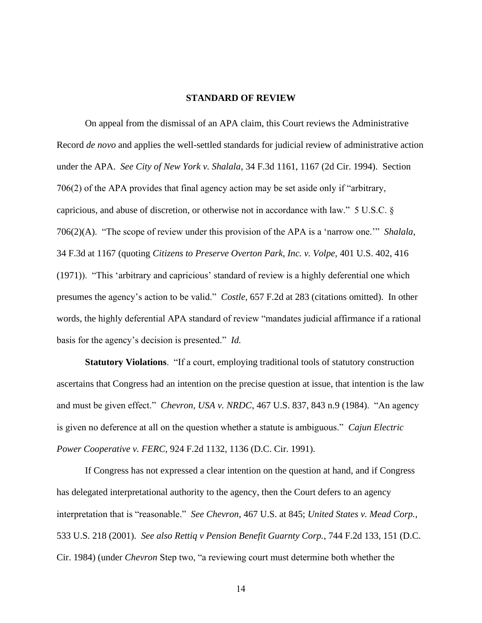#### **STANDARD OF REVIEW**

<span id="page-19-0"></span>On appeal from the dismissal of an APA claim, this Court reviews the Administrative Record *de novo* and applies the well-settled standards for judicial review of administrative action under the APA. *See City of New York v. Shalala*, 34 F.3d 1161, 1167 (2d Cir. 1994). Section 706(2) of the APA provides that final agency action may be set aside only if "arbitrary, capricious, and abuse of discretion, or otherwise not in accordance with law." 5 U.S.C. § 706(2)(A). "The scope of review under this provision of the APA is a 'narrow one.'" *Shalala*, 34 F.3d at 1167 (quoting *Citizens to Preserve Overton Park, Inc. v. Volpe*, 401 U.S. 402, 416 (1971)). "This 'arbitrary and capricious' standard of review is a highly deferential one which presumes the agency's action to be valid." *Costle*, 657 F.2d at 283 (citations omitted). In other words, the highly deferential APA standard of review "mandates judicial affirmance if a rational basis for the agency's decision is presented." *Id.*

**Statutory Violations**. "If a court, employing traditional tools of statutory construction ascertains that Congress had an intention on the precise question at issue, that intention is the law and must be given effect." *Chevron, USA v. NRDC*, 467 U.S. 837, 843 n.9 (1984). "An agency is given no deference at all on the question whether a statute is ambiguous." *Cajun Electric Power Cooperative v. FERC*, 924 F.2d 1132, 1136 (D.C. Cir. 1991).

If Congress has not expressed a clear intention on the question at hand, and if Congress has delegated interpretational authority to the agency, then the Court defers to an agency interpretation that is "reasonable." *See Chevron*, 467 U.S. at 845; *United States v. Mead Corp.*, 533 U.S. 218 (2001). *See also Rettiq v Pension Benefit Guarnty Corp.*, 744 F.2d 133, 151 (D.C. Cir. 1984) (under *Chevron* Step two, "a reviewing court must determine both whether the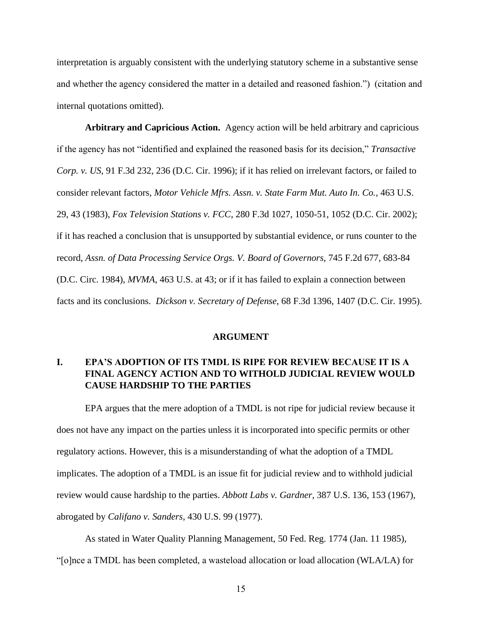interpretation is arguably consistent with the underlying statutory scheme in a substantive sense and whether the agency considered the matter in a detailed and reasoned fashion.") (citation and internal quotations omitted).

**Arbitrary and Capricious Action.** Agency action will be held arbitrary and capricious if the agency has not "identified and explained the reasoned basis for its decision," *Transactive Corp. v. US*, 91 F.3d 232, 236 (D.C. Cir. 1996); if it has relied on irrelevant factors, or failed to consider relevant factors, *Motor Vehicle Mfrs. Assn. v. State Farm Mut. Auto In. Co.*, 463 U.S. 29, 43 (1983), *Fox Television Stations v. FCC*, 280 F.3d 1027, 1050-51, 1052 (D.C. Cir. 2002); if it has reached a conclusion that is unsupported by substantial evidence, or runs counter to the record, *Assn. of Data Processing Service Orgs. V. Board of Governors*, 745 F.2d 677, 683-84 (D.C. Circ. 1984), *MVMA*, 463 U.S. at 43; or if it has failed to explain a connection between facts and its conclusions. *Dickson v. Secretary of Defense*, 68 F.3d 1396, 1407 (D.C. Cir. 1995).

#### **ARGUMENT**

# <span id="page-20-1"></span><span id="page-20-0"></span>**I. EPA'S ADOPTION OF ITS TMDL IS RIPE FOR REVIEW BECAUSE IT IS A FINAL AGENCY ACTION AND TO WITHOLD JUDICIAL REVIEW WOULD CAUSE HARDSHIP TO THE PARTIES**

EPA argues that the mere adoption of a TMDL is not ripe for judicial review because it does not have any impact on the parties unless it is incorporated into specific permits or other regulatory actions. However, this is a misunderstanding of what the adoption of a TMDL implicates. The adoption of a TMDL is an issue fit for judicial review and to withhold judicial review would cause hardship to the parties. *Abbott Labs v. Gardner*, 387 U.S. 136, 153 (1967), abrogated by *Califano v. Sanders*, 430 U.S. 99 (1977).

As stated in Water Quality Planning Management, 50 Fed. Reg. 1774 (Jan. 11 1985), "[o]nce a TMDL has been completed, a wasteload allocation or load allocation (WLA/LA) for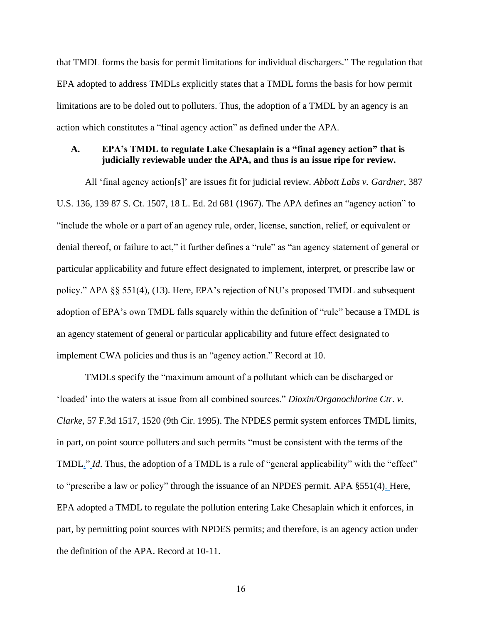that TMDL forms the basis for permit limitations for individual dischargers." The regulation that EPA adopted to address TMDLs explicitly states that a TMDL forms the basis for how permit limitations are to be doled out to polluters. Thus, the adoption of a TMDL by an agency is an action which constitutes a "final agency action" as defined under the APA.

### <span id="page-21-0"></span>**A. EPA's TMDL to regulate Lake Chesaplain is a "final agency action" that is judicially reviewable under the APA, and thus is an issue ripe for review.**

All 'final agency action[s]' are issues fit for judicial review*. Abbott Labs v. Gardner*, 387 U.S. 136, 139 87 S. Ct. 1507, 18 L. Ed. 2d 681 (1967). The APA defines an "agency action" to "include the whole or a part of an agency rule, order, license, sanction, relief, or equivalent or denial thereof, or failure to act," it further defines a "rule" as "an agency statement of general or particular applicability and future effect designated to implement, interpret, or prescribe law or policy." APA §§ 551(4), (13). Here, EPA's rejection of NU's proposed TMDL and subsequent adoption of EPA's own TMDL falls squarely within the definition of "rule" because a TMDL is an agency statement of general or particular applicability and future effect designated to implement CWA policies and thus is an "agency action." Record at 10.

TMDLs specify the "maximum amount of a pollutant which can be discharged or 'loaded' into the waters at issue from all combined sources." *Dioxin/Organochlorine Ctr. v. Clarke*, 57 F.3d 1517, 1520 (9th Cir. 1995). The NPDES permit system enforces TMDL limits, in part, on point source polluters and such permits "must be consistent with the terms of the TMDL." *Id*. Thus, the adoption of a TMDL is a rule of "general applicability" with the "effect" to "prescribe a law or policy" through the issuance of an NPDES permit. APA §551(4). Here, EPA adopted a TMDL to regulate the pollution entering Lake Chesaplain which it enforces, in part, by permitting point sources with NPDES permits; and therefore, is an agency action under the definition of the APA. Record at 10-11.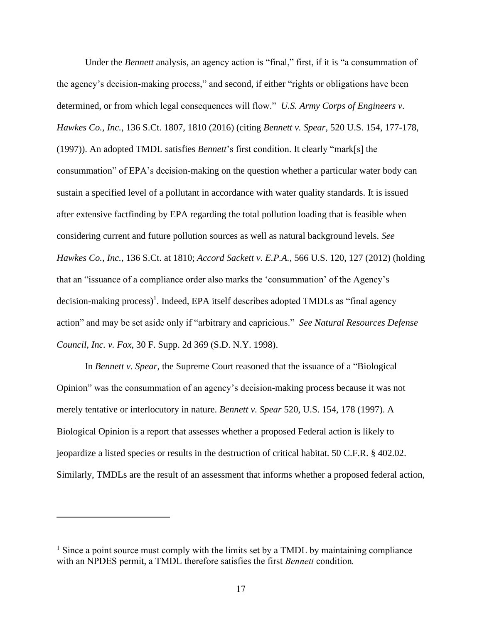Under the *Bennett* analysis, an agency action is "final," first, if it is "a consummation of the agency's decision-making process," and second, if either "rights or obligations have been determined, or from which legal consequences will flow." *U.S. Army Corps of Engineers v. Hawkes Co., Inc.*, 136 S.Ct. 1807, 1810 (2016) (citing *Bennett v. Spear*, 520 U.S. 154, 177-178, (1997)). An adopted TMDL satisfies *Bennett*'s first condition. It clearly "mark[s] the consummation" of EPA's decision-making on the question whether a particular water body can sustain a specified level of a pollutant in accordance with water quality standards. It is issued after extensive factfinding by EPA regarding the total pollution loading that is feasible when considering current and future pollution sources as well as natural background levels. *See Hawkes Co., Inc.*, 136 S.Ct. at 1810; *Accord Sackett v. E.P.A.*, 566 U.S. 120, 127 (2012) (holding that an "issuance of a compliance order also marks the 'consummation' of the Agency's decision-making process) 1 . Indeed, EPA itself describes adopted TMDLs as "final agency action" and may be set aside only if "arbitrary and capricious." *See Natural Resources Defense Council, Inc. v. Fox*, 30 F. Supp. 2d 369 (S.D. N.Y. 1998).

In *Bennett v. Spear*, the Supreme Court reasoned that the issuance of a "Biological Opinion" was the consummation of an agency's decision-making process because it was not merely tentative or interlocutory in nature. *Bennett v. Spear* 520, U.S. 154, 178 (1997). A Biological Opinion is a report that assesses whether a proposed Federal action is likely to jeopardize a listed species or results in the destruction of critical habitat. 50 C.F.R. § 402.02. Similarly, TMDLs are the result of an assessment that informs whether a proposed federal action,

 $<sup>1</sup>$  Since a point source must comply with the limits set by a TMDL by maintaining compliance</sup> with an NPDES permit, a TMDL therefore satisfies the first *Bennett* condition*.*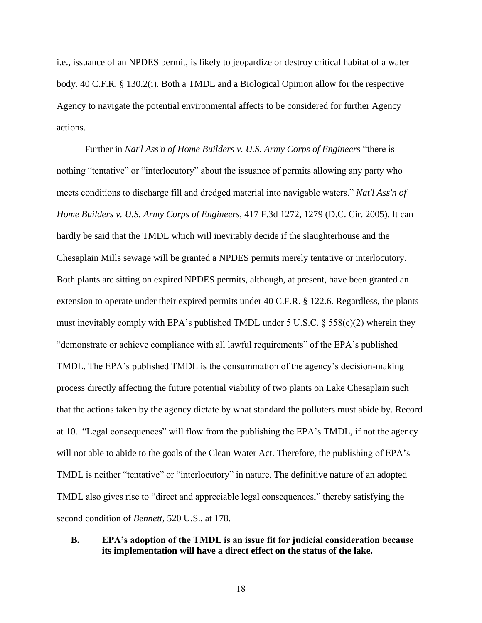i.e., issuance of an NPDES permit, is likely to jeopardize or destroy critical habitat of a water body. 40 C.F.R. § 130.2(i). Both a TMDL and a Biological Opinion allow for the respective Agency to navigate the potential environmental affects to be considered for further Agency actions.

Further in *Nat'l Ass'n of Home Builders v. U.S. Army Corps of Engineers* "there is nothing "tentative" or "interlocutory" about the issuance of permits allowing any party who meets conditions to discharge fill and dredged material into navigable waters." *Nat'l Ass'n of Home Builders v. U.S. Army Corps of Engineers*, 417 F.3d 1272, 1279 (D.C. Cir. 2005). It can hardly be said that the TMDL which will inevitably decide if the slaughterhouse and the Chesaplain Mills sewage will be granted a NPDES permits merely tentative or interlocutory. Both plants are sitting on expired NPDES permits, although, at present, have been granted an extension to operate under their expired permits under 40 C.F.R. § 122.6. Regardless, the plants must inevitably comply with EPA's published TMDL under 5 U.S.C. § 558(c)(2) wherein they "demonstrate or achieve compliance with all lawful requirements" of the EPA's published TMDL. The EPA's published TMDL is the consummation of the agency's decision-making process directly affecting the future potential viability of two plants on Lake Chesaplain such that the actions taken by the agency dictate by what standard the polluters must abide by. Record at 10. "Legal consequences" will flow from the publishing the EPA's TMDL, if not the agency will not able to abide to the goals of the Clean Water Act. Therefore, the publishing of EPA's TMDL is neither "tentative" or "interlocutory" in nature. The definitive nature of an adopted TMDL also gives rise to "direct and appreciable legal consequences," thereby satisfying the second condition of *Bennett*, 520 U.S., at 178.

### <span id="page-23-0"></span>**B. EPA's adoption of the TMDL is an issue fit for judicial consideration because its implementation will have a direct effect on the status of the lake.**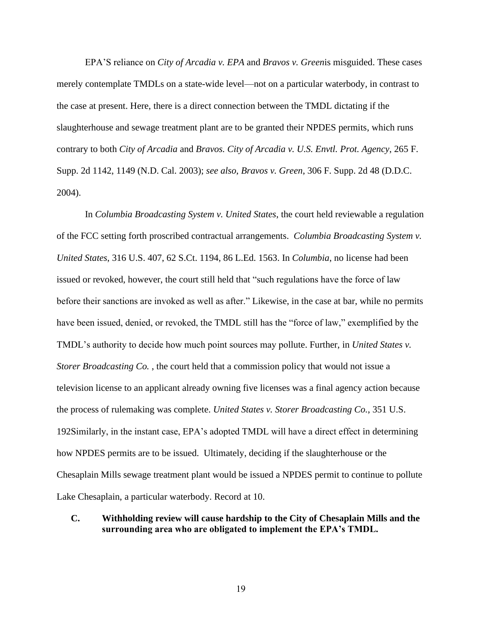EPA'S reliance on *City of Arcadia v. EPA* and *Bravos v. Green*is misguided. These cases merely contemplate TMDLs on a state-wide level—not on a particular waterbody, in contrast to the case at present. Here, there is a direct connection between the TMDL dictating if the slaughterhouse and sewage treatment plant are to be granted their NPDES permits, which runs contrary to both *City of Arcadia* and *Bravos. City of Arcadia v. U.S. Envtl. Prot. Agency*, 265 F. Supp. 2d 1142, 1149 (N.D. Cal. 2003); *see also*, *Bravos v. Green*, 306 F. Supp. 2d 48 (D.D.C. 2004).

In *Columbia Broadcasting System v. United States*, the court held reviewable a regulation of the FCC setting forth proscribed contractual arrangements. *Columbia Broadcasting System v. United States*, 316 U.S. 407, 62 S.Ct. 1194, 86 L.Ed. 1563. In *Columbia*, no license had been issued or revoked, however, the court still held that "such regulations have the force of law before their sanctions are invoked as well as after." Likewise, in the case at bar, while no permits have been issued, denied, or revoked, the TMDL still has the "force of law," exemplified by the TMDL's authority to decide how much point sources may pollute. Further, in *United States v. Storer Broadcasting Co.* , the court held that a commission policy that would not issue a television license to an applicant already owning five licenses was a final agency action because the process of rulemaking was complete. *United States v. Storer Broadcasting Co.*, 351 U.S. 192Similarly, in the instant case, EPA's adopted TMDL will have a direct effect in determining how NPDES permits are to be issued. Ultimately, deciding if the slaughterhouse or the Chesaplain Mills sewage treatment plant would be issued a NPDES permit to continue to pollute Lake Chesaplain, a particular waterbody. Record at 10.

### <span id="page-24-0"></span>**C. Withholding review will cause hardship to the City of Chesaplain Mills and the surrounding area who are obligated to implement the EPA's TMDL.**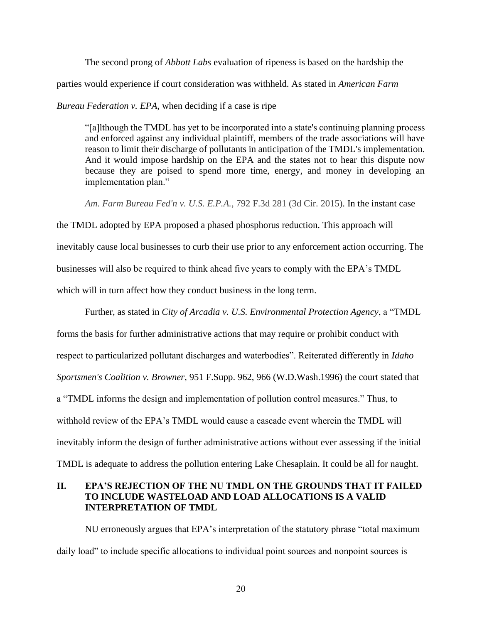The second prong of *Abbott Labs* evaluation of ripeness is based on the hardship the

parties would experience if court consideration was withheld. As stated in *American Farm* 

*Bureau Federation v. EPA*, when deciding if a case is ripe

"[a]lthough the TMDL has yet to be incorporated into a state's continuing planning process and enforced against any individual plaintiff, members of the trade associations will have reason to limit their discharge of pollutants in anticipation of the TMDL's implementation. And it would impose hardship on the EPA and the states not to hear this dispute now because they are poised to spend more time, energy, and money in developing an implementation plan."

*Am. Farm Bureau Fed'n v. U.S. E.P.A.*, 792 F.3d 281 (3d Cir. 2015). In the instant case

the TMDL adopted by EPA proposed a phased phosphorus reduction. This approach will inevitably cause local businesses to curb their use prior to any enforcement action occurring. The businesses will also be required to think ahead five years to comply with the EPA's TMDL which will in turn affect how they conduct business in the long term.

Further, as stated in *City of Arcadia v. U.S. Environmental Protection Agency*, a "TMDL forms the basis for further administrative actions that may require or prohibit conduct with respect to particularized pollutant discharges and waterbodies". Reiterated differently in *Idaho Sportsmen's Coalition v. Browner*, 951 F.Supp. 962, 966 (W.D.Wash.1996) the court stated that a "TMDL informs the design and implementation of pollution control measures." Thus, to withhold review of the EPA's TMDL would cause a cascade event wherein the TMDL will inevitably inform the design of further administrative actions without ever assessing if the initial TMDL is adequate to address the pollution entering Lake Chesaplain. It could be all for naught.

## <span id="page-25-0"></span>**II. EPA'S REJECTION OF THE NU TMDL ON THE GROUNDS THAT IT FAILED TO INCLUDE WASTELOAD AND LOAD ALLOCATIONS IS A VALID INTERPRETATION OF TMDL**

NU erroneously argues that EPA's interpretation of the statutory phrase "total maximum daily load" to include specific allocations to individual point sources and nonpoint sources is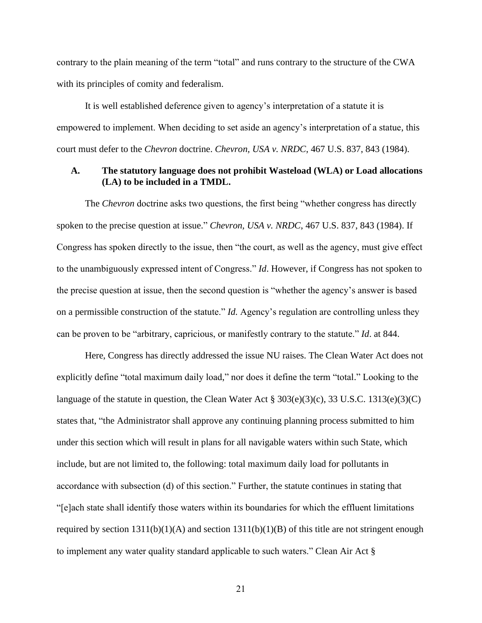contrary to the plain meaning of the term "total" and runs contrary to the structure of the CWA with its principles of comity and federalism.

It is well established deference given to agency's interpretation of a statute it is empowered to implement. When deciding to set aside an agency's interpretation of a statue, this court must defer to the *Chevron* doctrine. *Chevron, USA v. NRDC*, 467 U.S. 837, 843 (1984).

### <span id="page-26-0"></span>**A. The statutory language does not prohibit Wasteload (WLA) or Load allocations (LA) to be included in a TMDL.**

The *Chevron* doctrine asks two questions, the first being "whether congress has directly spoken to the precise question at issue." *Chevron, USA v. NRDC*, 467 U.S. 837, 843 (1984). If Congress has spoken directly to the issue, then "the court, as well as the agency, must give effect to the unambiguously expressed intent of Congress." *Id*. However, if Congress has not spoken to the precise question at issue, then the second question is "whether the agency's answer is based on a permissible construction of the statute." *Id.* Agency's regulation are controlling unless they can be proven to be "arbitrary, capricious, or manifestly contrary to the statute." *Id*. at 844.

Here, Congress has directly addressed the issue NU raises. The Clean Water Act does not explicitly define "total maximum daily load," nor does it define the term "total." Looking to the language of the statute in question, the Clean Water Act  $\S 303(e)(3)(c)$ , 33 U.S.C. 1313(e)(3)(C) states that, "the Administrator shall approve any continuing planning process submitted to him under this section which will result in plans for all navigable waters within such State, which include, but are not limited to, the following: total maximum daily load for pollutants in accordance with subsection (d) of this section." Further, the statute continues in stating that "[e]ach state shall identify those waters within its boundaries for which the effluent limitations required by section  $1311(b)(1)(A)$  and section  $1311(b)(1)(B)$  of this title are not stringent enough to implement any water quality standard applicable to such waters." Clean Air Act §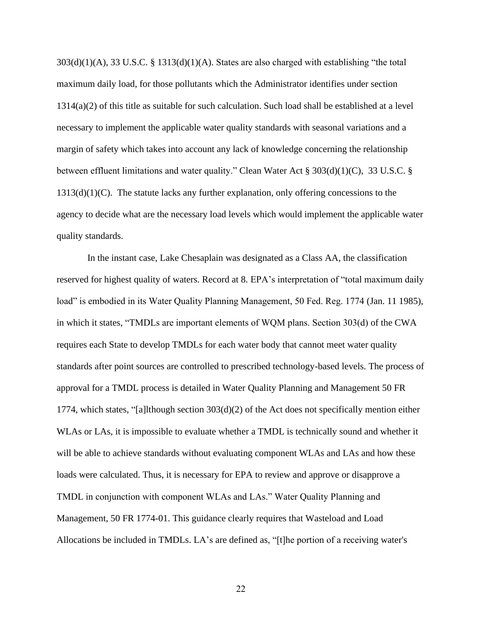303(d)(1)(A), 33 U.S.C. § 1313(d)(1)(A). States are also charged with establishing "the total maximum daily load, for those pollutants which the Administrator identifies under section 1314(a)(2) of this title as suitable for such calculation. Such load shall be established at a level necessary to implement the applicable water quality standards with seasonal variations and a margin of safety which takes into account any lack of knowledge concerning the relationship between effluent limitations and water quality." Clean Water Act § 303(d)(1)(C), 33 U.S.C. §  $1313(d)(1)(C)$ . The statute lacks any further explanation, only offering concessions to the agency to decide what are the necessary load levels which would implement the applicable water quality standards.

In the instant case, Lake Chesaplain was designated as a Class AA, the classification reserved for highest quality of waters. Record at 8. EPA's interpretation of "total maximum daily load" is embodied in its Water Quality Planning Management, 50 Fed. Reg. 1774 (Jan. 11 1985), in which it states, "TMDLs are important elements of WQM plans. Section 303(d) of the CWA requires each State to develop TMDLs for each water body that cannot meet water quality standards after point sources are controlled to prescribed technology-based levels. The process of approval for a TMDL process is detailed in Water Quality Planning and Management 50 FR 1774, which states, "[a]lthough section 303(d)(2) of the Act does not specifically mention either WLAs or LAs, it is impossible to evaluate whether a TMDL is technically sound and whether it will be able to achieve standards without evaluating component WLAs and LAs and how these loads were calculated. Thus, it is necessary for EPA to review and approve or disapprove a TMDL in conjunction with component WLAs and LAs." Water Quality Planning and Management, 50 FR 1774-01. This guidance clearly requires that Wasteload and Load Allocations be included in TMDLs. LA's are defined as, "[t]he portion of a receiving water's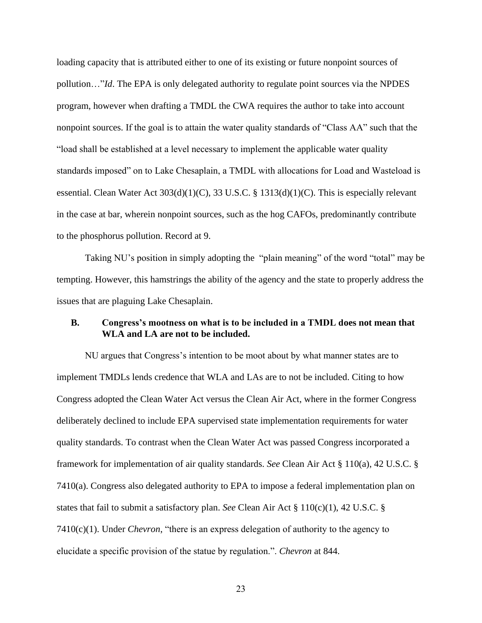loading capacity that is attributed either to one of its existing or future nonpoint sources of pollution…"*Id*. The EPA is only delegated authority to regulate point sources via the NPDES program, however when drafting a TMDL the CWA requires the author to take into account nonpoint sources. If the goal is to attain the water quality standards of "Class AA" such that the "load shall be established at a level necessary to implement the applicable water quality standards imposed" on to Lake Chesaplain, a TMDL with allocations for Load and Wasteload is essential. Clean Water Act 303(d)(1)(C), 33 U.S.C. § 1313(d)(1)(C). This is especially relevant in the case at bar, wherein nonpoint sources, such as the hog CAFOs, predominantly contribute to the phosphorus pollution. Record at 9.

Taking NU's position in simply adopting the "plain meaning" of the word "total" may be tempting. However, this hamstrings the ability of the agency and the state to properly address the issues that are plaguing Lake Chesaplain.

### <span id="page-28-0"></span>**B. Congress's mootness on what is to be included in a TMDL does not mean that WLA and LA are not to be included.**

NU argues that Congress's intention to be moot about by what manner states are to implement TMDLs lends credence that WLA and LAs are to not be included. Citing to how Congress adopted the Clean Water Act versus the Clean Air Act, where in the former Congress deliberately declined to include EPA supervised state implementation requirements for water quality standards. To contrast when the Clean Water Act was passed Congress incorporated a framework for implementation of air quality standards. *See* Clean Air Act § 110(a), 42 U.S.C. § 7410(a). Congress also delegated authority to EPA to impose a federal implementation plan on states that fail to submit a satisfactory plan. *See* Clean Air Act  $\S 110(c)(1)$ , 42 U.S.C.  $\S$ 7410(c)(1). Under *Chevron*, "there is an express delegation of authority to the agency to elucidate a specific provision of the statue by regulation.". *Chevron* at 844.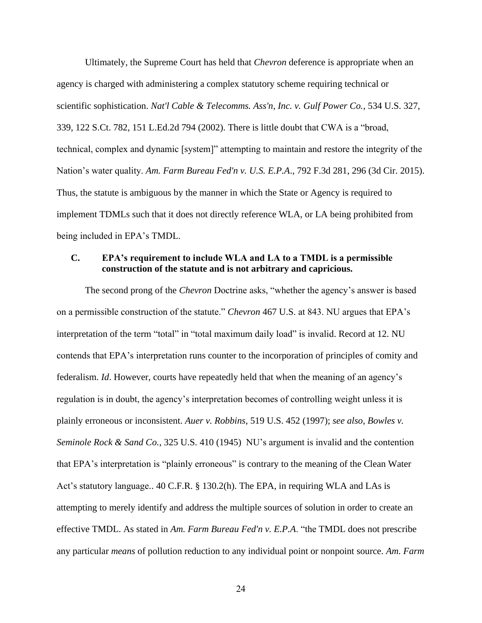Ultimately, the Supreme Court has held that *Chevron* deference is appropriate when an agency is charged with administering a complex statutory scheme requiring technical or scientific sophistication. *Nat'l Cable & Telecomms. Ass'n, Inc. v. Gulf Power Co.*, 534 U.S. 327, 339, 122 S.Ct. 782, 151 L.Ed.2d 794 (2002). There is little doubt that CWA is a "broad, technical, complex and dynamic [system]" attempting to maintain and restore the integrity of the Nation's water quality. *Am. Farm Bureau Fed'n v. U.S. E.P.A*., 792 F.3d 281, 296 (3d Cir. 2015). Thus, the statute is ambiguous by the manner in which the State or Agency is required to implement TDMLs such that it does not directly reference WLA, or LA being prohibited from being included in EPA's TMDL.

# <span id="page-29-0"></span>**C. EPA's requirement to include WLA and LA to a TMDL is a permissible construction of the statute and is not arbitrary and capricious.**

The second prong of the *Chevron* Doctrine asks, "whether the agency's answer is based on a permissible construction of the statute." *Chevron* 467 U.S. at 843. NU argues that EPA's interpretation of the term "total" in "total maximum daily load" is invalid. Record at 12. NU contends that EPA's interpretation runs counter to the incorporation of principles of comity and federalism. *Id*. However, courts have repeatedly held that when the meaning of an agency's regulation is in doubt, the agency's interpretation becomes of controlling weight unless it is plainly erroneous or inconsistent. *Auer v. Robbins*, 519 U.S. 452 (1997); *see also*, *Bowles v. Seminole Rock & Sand Co.*, 325 U.S. 410 (1945) NU's argument is invalid and the contention that EPA's interpretation is "plainly erroneous" is contrary to the meaning of the Clean Water Act's statutory language.. 40 C.F.R. § 130.2(h). The EPA, in requiring WLA and LAs is attempting to merely identify and address the multiple sources of solution in order to create an effective TMDL. As stated in *Am. Farm Bureau Fed'n v. E.P.A*. "the TMDL does not prescribe any particular *means* of pollution reduction to any individual point or nonpoint source. *Am. Farm*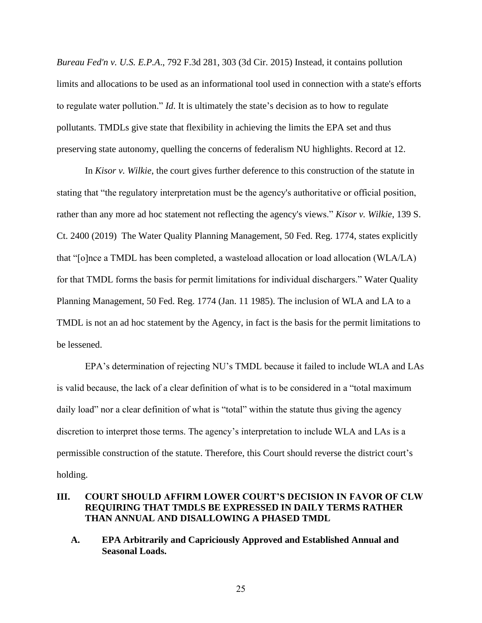*Bureau Fed'n v. U.S. E.P.A*., 792 F.3d 281, 303 (3d Cir. 2015) Instead, it contains pollution limits and allocations to be used as an informational tool used in connection with a state's efforts to regulate water pollution." *Id*. It is ultimately the state's decision as to how to regulate pollutants. TMDLs give state that flexibility in achieving the limits the EPA set and thus preserving state autonomy, quelling the concerns of federalism NU highlights. Record at 12.

In *Kisor v. Wilkie*, the court gives further deference to this construction of the statute in stating that "the regulatory interpretation must be the agency's authoritative or official position, rather than any more ad hoc statement not reflecting the agency's views." *Kisor v. Wilkie*, 139 S. Ct. 2400 (2019) The Water Quality Planning Management, 50 Fed. Reg. 1774, states explicitly that "[o]nce a TMDL has been completed, a wasteload allocation or load allocation (WLA/LA) for that TMDL forms the basis for permit limitations for individual dischargers." Water Quality Planning Management, 50 Fed. Reg. 1774 (Jan. 11 1985). The inclusion of WLA and LA to a TMDL is not an ad hoc statement by the Agency, in fact is the basis for the permit limitations to be lessened.

EPA's determination of rejecting NU's TMDL because it failed to include WLA and LAs is valid because, the lack of a clear definition of what is to be considered in a "total maximum daily load" nor a clear definition of what is "total" within the statute thus giving the agency discretion to interpret those terms. The agency's interpretation to include WLA and LAs is a permissible construction of the statute. Therefore, this Court should reverse the district court's holding.

# <span id="page-30-0"></span>**III. COURT SHOULD AFFIRM LOWER COURT'S DECISION IN FAVOR OF CLW REQUIRING THAT TMDLS BE EXPRESSED IN DAILY TERMS RATHER THAN ANNUAL AND DISALLOWING A PHASED TMDL**

<span id="page-30-1"></span>**A. EPA Arbitrarily and Capriciously Approved and Established Annual and Seasonal Loads.**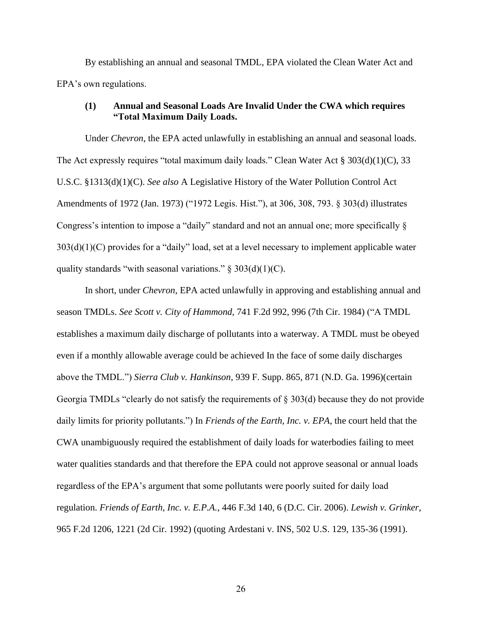By establishing an annual and seasonal TMDL, EPA violated the Clean Water Act and EPA's own regulations.

### **(1) Annual and Seasonal Loads Are Invalid Under the CWA which requires "Total Maximum Daily Loads.**

Under *Chevron*, the EPA acted unlawfully in establishing an annual and seasonal loads. The Act expressly requires "total maximum daily loads." Clean Water Act  $\S 303(d)(1)(C)$ , 33 U.S.C. §1313(d)(1)(C). *See also* A Legislative History of the Water Pollution Control Act Amendments of 1972 (Jan. 1973) ("1972 Legis. Hist."), at 306, 308, 793. § 303(d) illustrates Congress's intention to impose a "daily" standard and not an annual one; more specifically §  $303(d)(1)(C)$  provides for a "daily" load, set at a level necessary to implement applicable water quality standards "with seasonal variations."  $\S$  303(d)(1)(C).

In short, under *Chevron*, EPA acted unlawfully in approving and establishing annual and season TMDLs. *See Scott v. City of Hammond*, 741 F.2d 992, 996 (7th Cir. 1984) ("A TMDL establishes a maximum daily discharge of pollutants into a waterway. A TMDL must be obeyed even if a monthly allowable average could be achieved In the face of some daily discharges above the TMDL.") *Sierra Club v. Hankinson*, 939 F. Supp. 865, 871 (N.D. Ga. 1996)(certain Georgia TMDLs "clearly do not satisfy the requirements of § 303(d) because they do not provide daily limits for priority pollutants.") In *Friends of the Earth, Inc. v. EPA*, the court held that the CWA unambiguously required the establishment of daily loads for waterbodies failing to meet water qualities standards and that therefore the EPA could not approve seasonal or annual loads regardless of the EPA's argument that some pollutants were poorly suited for daily load regulation. *Friends of Earth, Inc. v. E.P.A.*, 446 F.3d 140, 6 (D.C. Cir. 2006). *Lewish v. Grinker*, 965 F.2d 1206, 1221 (2d Cir. 1992) (quoting Ardestani v. INS, 502 U.S. 129, 135-36 (1991).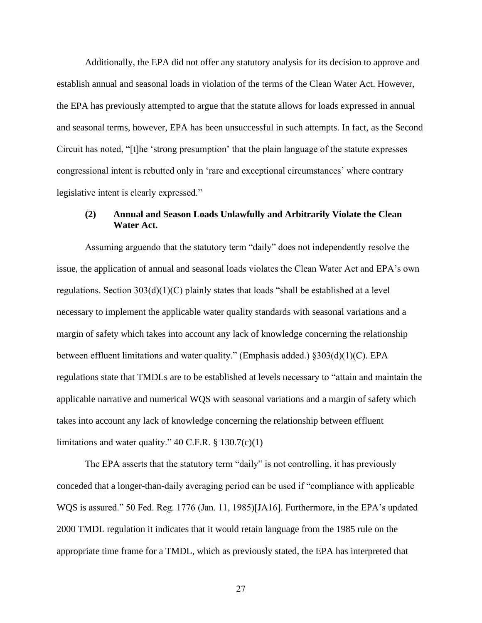Additionally, the EPA did not offer any statutory analysis for its decision to approve and establish annual and seasonal loads in violation of the terms of the Clean Water Act. However, the EPA has previously attempted to argue that the statute allows for loads expressed in annual and seasonal terms, however, EPA has been unsuccessful in such attempts. In fact, as the Second Circuit has noted, "[t]he 'strong presumption' that the plain language of the statute expresses congressional intent is rebutted only in 'rare and exceptional circumstances' where contrary legislative intent is clearly expressed."

### **(2) Annual and Season Loads Unlawfully and Arbitrarily Violate the Clean Water Act.**

Assuming arguendo that the statutory term "daily" does not independently resolve the issue, the application of annual and seasonal loads violates the Clean Water Act and EPA's own regulations. Section  $303(d)(1)(C)$  plainly states that loads "shall be established at a level necessary to implement the applicable water quality standards with seasonal variations and a margin of safety which takes into account any lack of knowledge concerning the relationship between effluent limitations and water quality." (Emphasis added.) §303(d)(1)(C). EPA regulations state that TMDLs are to be established at levels necessary to "attain and maintain the applicable narrative and numerical WQS with seasonal variations and a margin of safety which takes into account any lack of knowledge concerning the relationship between effluent limitations and water quality."  $40 \text{ C.F.R.}$  §  $130.7(c)(1)$ 

The EPA asserts that the statutory term "daily" is not controlling, it has previously conceded that a longer-than-daily averaging period can be used if "compliance with applicable WQS is assured." 50 Fed. Reg. 1776 (Jan. 11, 1985)[JA16]. Furthermore, in the EPA's updated 2000 TMDL regulation it indicates that it would retain language from the 1985 rule on the appropriate time frame for a TMDL, which as previously stated, the EPA has interpreted that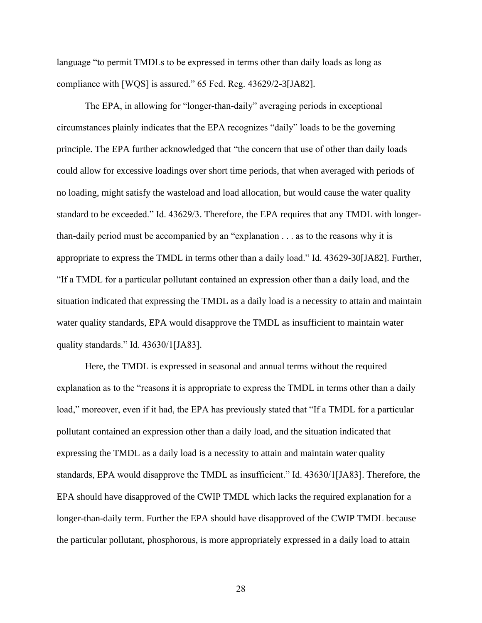language "to permit TMDLs to be expressed in terms other than daily loads as long as compliance with [WQS] is assured." 65 Fed. Reg. 43629/2-3[JA82].

The EPA, in allowing for "longer-than-daily" averaging periods in exceptional circumstances plainly indicates that the EPA recognizes "daily" loads to be the governing principle. The EPA further acknowledged that "the concern that use of other than daily loads could allow for excessive loadings over short time periods, that when averaged with periods of no loading, might satisfy the wasteload and load allocation, but would cause the water quality standard to be exceeded." Id. 43629/3. Therefore, the EPA requires that any TMDL with longerthan-daily period must be accompanied by an "explanation . . . as to the reasons why it is appropriate to express the TMDL in terms other than a daily load." Id. 43629-30[JA82]. Further, "If a TMDL for a particular pollutant contained an expression other than a daily load, and the situation indicated that expressing the TMDL as a daily load is a necessity to attain and maintain water quality standards, EPA would disapprove the TMDL as insufficient to maintain water quality standards." Id. 43630/1[JA83].

Here, the TMDL is expressed in seasonal and annual terms without the required explanation as to the "reasons it is appropriate to express the TMDL in terms other than a daily load," moreover, even if it had, the EPA has previously stated that "If a TMDL for a particular pollutant contained an expression other than a daily load, and the situation indicated that expressing the TMDL as a daily load is a necessity to attain and maintain water quality standards, EPA would disapprove the TMDL as insufficient." Id. 43630/1[JA83]. Therefore, the EPA should have disapproved of the CWIP TMDL which lacks the required explanation for a longer-than-daily term. Further the EPA should have disapproved of the CWIP TMDL because the particular pollutant, phosphorous, is more appropriately expressed in a daily load to attain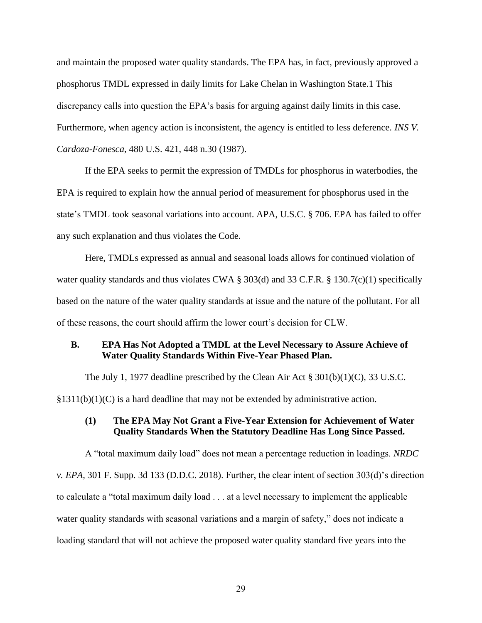and maintain the proposed water quality standards. The EPA has, in fact, previously approved a phosphorus TMDL expressed in daily limits for Lake Chelan in Washington State.1 This discrepancy calls into question the EPA's basis for arguing against daily limits in this case. Furthermore, when agency action is inconsistent, the agency is entitled to less deference. *INS V. Cardoza-Fonesca*, 480 U.S. 421, 448 n.30 (1987).

If the EPA seeks to permit the expression of TMDLs for phosphorus in waterbodies, the EPA is required to explain how the annual period of measurement for phosphorus used in the state's TMDL took seasonal variations into account. APA, U.S.C. § 706. EPA has failed to offer any such explanation and thus violates the Code.

Here, TMDLs expressed as annual and seasonal loads allows for continued violation of water quality standards and thus violates CWA § 303(d) and 33 C.F.R. § 130.7(c)(1) specifically based on the nature of the water quality standards at issue and the nature of the pollutant. For all of these reasons, the court should affirm the lower court's decision for CLW.

### <span id="page-34-0"></span>**B. EPA Has Not Adopted a TMDL at the Level Necessary to Assure Achieve of Water Quality Standards Within Five-Year Phased Plan.**

The July 1, 1977 deadline prescribed by the Clean Air Act  $\S 301(b)(1)(C)$ , 33 U.S.C.

 $\S 1311(b)(1)(C)$  is a hard deadline that may not be extended by administrative action.

# **(1) The EPA May Not Grant a Five-Year Extension for Achievement of Water Quality Standards When the Statutory Deadline Has Long Since Passed.**

A "total maximum daily load" does not mean a percentage reduction in loadings. *NRDC v. EPA,* 301 F. Supp. 3d 133 (D.D.C. 2018). Further, the clear intent of section 303(d)'s direction to calculate a "total maximum daily load . . . at a level necessary to implement the applicable water quality standards with seasonal variations and a margin of safety," does not indicate a loading standard that will not achieve the proposed water quality standard five years into the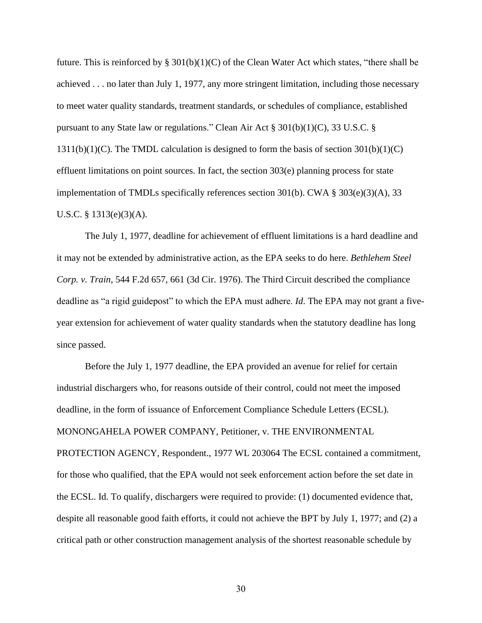future. This is reinforced by  $\S 301(b)(1)(C)$  of the Clean Water Act which states, "there shall be achieved . . . no later than July 1, 1977, any more stringent limitation, including those necessary to meet water quality standards, treatment standards, or schedules of compliance, established pursuant to any State law or regulations." Clean Air Act § 301(b)(1)(C), 33 U.S.C. §  $1311(b)(1)(C)$ . The TMDL calculation is designed to form the basis of section  $301(b)(1)(C)$ effluent limitations on point sources. In fact, the section 303(e) planning process for state implementation of TMDLs specifically references section 301(b). CWA  $\S 303(e)(3)(A)$ , 33 U.S.C. § 1313(e)(3)(A).

The July 1, 1977, deadline for achievement of effluent limitations is a hard deadline and it may not be extended by administrative action, as the EPA seeks to do here. *Bethlehem Steel Corp. v. Train*, 544 F.2d 657, 661 (3d Cir. 1976). The Third Circuit described the compliance deadline as "a rigid guidepost" to which the EPA must adhere. *Id*. The EPA may not grant a fiveyear extension for achievement of water quality standards when the statutory deadline has long since passed.

Before the July 1, 1977 deadline, the EPA provided an avenue for relief for certain industrial dischargers who, for reasons outside of their control, could not meet the imposed deadline, in the form of issuance of Enforcement Compliance Schedule Letters (ECSL). MONONGAHELA POWER COMPANY, Petitioner, v. THE ENVIRONMENTAL PROTECTION AGENCY, Respondent., 1977 WL 203064 The ECSL contained a commitment, for those who qualified, that the EPA would not seek enforcement action before the set date in the ECSL. Id. To qualify, dischargers were required to provide: (1) documented evidence that, despite all reasonable good faith efforts, it could not achieve the BPT by July 1, 1977; and (2) a critical path or other construction management analysis of the shortest reasonable schedule by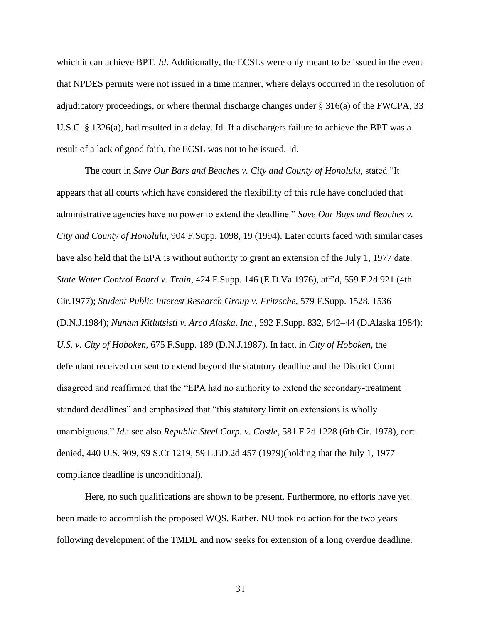which it can achieve BPT. *Id*. Additionally, the ECSLs were only meant to be issued in the event that NPDES permits were not issued in a time manner, where delays occurred in the resolution of adjudicatory proceedings, or where thermal discharge changes under § 316(a) of the FWCPA, 33 U.S.C. § 1326(a), had resulted in a delay. Id. If a dischargers failure to achieve the BPT was a result of a lack of good faith, the ECSL was not to be issued. Id.

The court in *Save Our Bars and Beaches v. City and County of Honolulu*, stated "It appears that all courts which have considered the flexibility of this rule have concluded that administrative agencies have no power to extend the deadline." *Save Our Bays and Beaches v. City and County of Honolulu*, 904 F.Supp. 1098, 19 (1994). Later courts faced with similar cases have also held that the EPA is without authority to grant an extension of the July 1, 1977 date. *State Water Control Board v. Train*, 424 F.Supp. 146 (E.D.Va.1976), aff'd, 559 F.2d 921 (4th Cir.1977); *Student Public Interest Research Group v. Fritzsche*, 579 F.Supp. 1528, 1536 (D.N.J.1984); *Nunam Kitlutsisti v. Arco Alaska, Inc.*, 592 F.Supp. 832, 842–44 (D.Alaska 1984); *U.S. v. City of Hoboken*, 675 F.Supp. 189 (D.N.J.1987). In fact, in *City of Hoboken*, the defendant received consent to extend beyond the statutory deadline and the District Court disagreed and reaffirmed that the "EPA had no authority to extend the secondary-treatment standard deadlines" and emphasized that "this statutory limit on extensions is wholly unambiguous." *Id*.: see also *Republic Steel Corp. v. Costle*, 581 F.2d 1228 (6th Cir. 1978), cert. denied, 440 U.S. 909, 99 S.Ct 1219, 59 L.ED.2d 457 (1979)(holding that the July 1, 1977 compliance deadline is unconditional).

Here, no such qualifications are shown to be present. Furthermore, no efforts have yet been made to accomplish the proposed WQS. Rather, NU took no action for the two years following development of the TMDL and now seeks for extension of a long overdue deadline.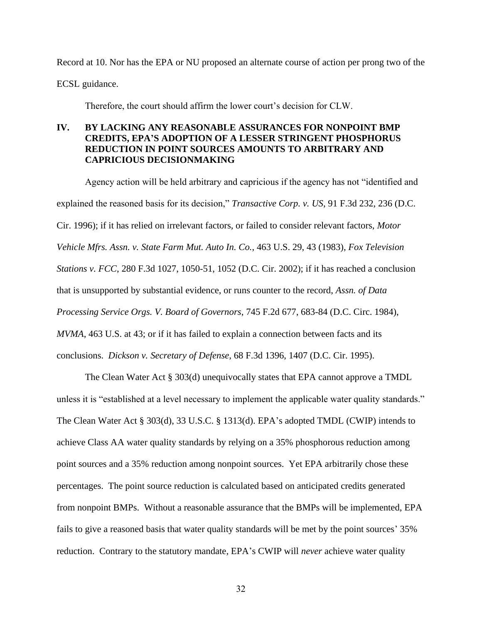Record at 10. Nor has the EPA or NU proposed an alternate course of action per prong two of the ECSL guidance.

Therefore, the court should affirm the lower court's decision for CLW.

# <span id="page-37-0"></span>**IV. BY LACKING ANY REASONABLE ASSURANCES FOR NONPOINT BMP CREDITS, EPA'S ADOPTION OF A LESSER STRINGENT PHOSPHORUS REDUCTION IN POINT SOURCES AMOUNTS TO ARBITRARY AND CAPRICIOUS DECISIONMAKING**

Agency action will be held arbitrary and capricious if the agency has not "identified and explained the reasoned basis for its decision," *Transactive Corp. v. US*, 91 F.3d 232, 236 (D.C. Cir. 1996); if it has relied on irrelevant factors, or failed to consider relevant factors, *Motor Vehicle Mfrs. Assn. v. State Farm Mut. Auto In. Co.*, 463 U.S. 29, 43 (1983), *Fox Television Stations v. FCC*, 280 F.3d 1027, 1050-51, 1052 (D.C. Cir. 2002); if it has reached a conclusion that is unsupported by substantial evidence, or runs counter to the record, *Assn. of Data Processing Service Orgs. V. Board of Governors*, 745 F.2d 677, 683-84 (D.C. Circ. 1984), *MVMA*, 463 U.S. at 43; or if it has failed to explain a connection between facts and its conclusions. *Dickson v. Secretary of Defense*, 68 F.3d 1396, 1407 (D.C. Cir. 1995).

The Clean Water Act § 303(d) unequivocally states that EPA cannot approve a TMDL unless it is "established at a level necessary to implement the applicable water quality standards." The Clean Water Act § 303(d), 33 U.S.C. § 1313(d). EPA's adopted TMDL (CWIP) intends to achieve Class AA water quality standards by relying on a 35% phosphorous reduction among point sources and a 35% reduction among nonpoint sources. Yet EPA arbitrarily chose these percentages. The point source reduction is calculated based on anticipated credits generated from nonpoint BMPs. Without a reasonable assurance that the BMPs will be implemented, EPA fails to give a reasoned basis that water quality standards will be met by the point sources' 35% reduction. Contrary to the statutory mandate, EPA's CWIP will *never* achieve water quality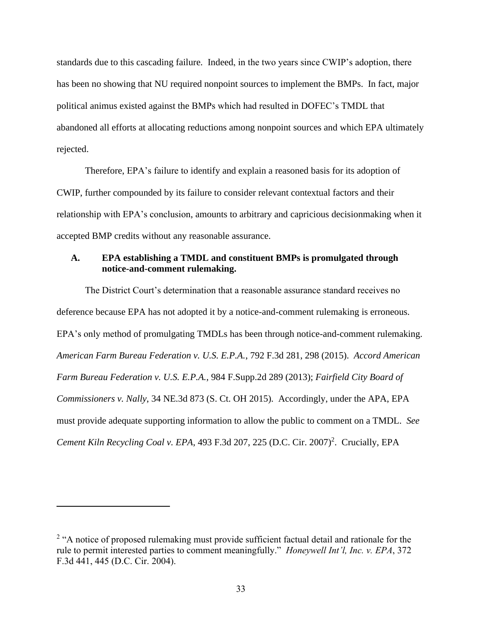standards due to this cascading failure. Indeed, in the two years since CWIP's adoption, there has been no showing that NU required nonpoint sources to implement the BMPs. In fact, major political animus existed against the BMPs which had resulted in DOFEC's TMDL that abandoned all efforts at allocating reductions among nonpoint sources and which EPA ultimately rejected.

Therefore, EPA's failure to identify and explain a reasoned basis for its adoption of CWIP, further compounded by its failure to consider relevant contextual factors and their relationship with EPA's conclusion, amounts to arbitrary and capricious decisionmaking when it accepted BMP credits without any reasonable assurance.

### <span id="page-38-0"></span>**A. EPA establishing a TMDL and constituent BMPs is promulgated through notice-and-comment rulemaking.**

The District Court's determination that a reasonable assurance standard receives no deference because EPA has not adopted it by a notice-and-comment rulemaking is erroneous. EPA's only method of promulgating TMDLs has been through notice-and-comment rulemaking. *American Farm Bureau Federation v. U.S. E.P.A.*, 792 F.3d 281, 298 (2015). *Accord American Farm Bureau Federation v. U.S. E.P.A.*, 984 F.Supp.2d 289 (2013); *Fairfield City Board of Commissioners v. Nally*, 34 NE.3d 873 (S. Ct. OH 2015). Accordingly, under the APA, EPA must provide adequate supporting information to allow the public to comment on a TMDL. *See*  Cement Kiln Recycling Coal v. EPA, 493 F.3d 207, 225 (D.C. Cir. 2007)<sup>2</sup>. Crucially, EPA

 $2$  "A notice of proposed rulemaking must provide sufficient factual detail and rationale for the rule to permit interested parties to comment meaningfully." *Honeywell Int'l, Inc. v. EPA*, 372 F.3d 441, 445 (D.C. Cir. 2004).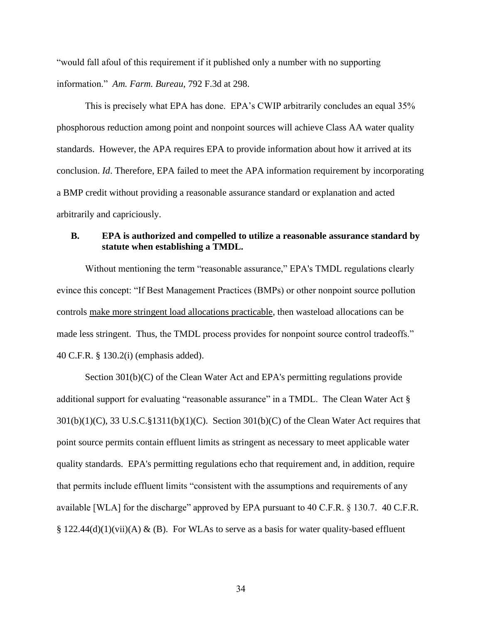"would fall afoul of this requirement if it published only a number with no supporting information." *Am. Farm. Bureau*, 792 F.3d at 298.

This is precisely what EPA has done. EPA's CWIP arbitrarily concludes an equal 35% phosphorous reduction among point and nonpoint sources will achieve Class AA water quality standards. However, the APA requires EPA to provide information about how it arrived at its conclusion. *Id*. Therefore, EPA failed to meet the APA information requirement by incorporating a BMP credit without providing a reasonable assurance standard or explanation and acted arbitrarily and capriciously.

# <span id="page-39-0"></span>**B. EPA is authorized and compelled to utilize a reasonable assurance standard by statute when establishing a TMDL.**

Without mentioning the term "reasonable assurance," EPA's TMDL regulations clearly evince this concept: "If Best Management Practices (BMPs) or other nonpoint source pollution controls make more stringent load allocations practicable, then wasteload allocations can be made less stringent. Thus, the TMDL process provides for nonpoint source control tradeoffs." 40 C.F.R. § 130.2(i) (emphasis added).

Section 301(b)(C) of the Clean Water Act and EPA's permitting regulations provide additional support for evaluating "reasonable assurance" in a TMDL. The Clean Water Act § 301(b)(1)(C), 33 U.S.C.§1311(b)(1)(C). Section 301(b)(C) of the Clean Water Act requires that point source permits contain effluent limits as stringent as necessary to meet applicable water quality standards. EPA's permitting regulations echo that requirement and, in addition, require that permits include effluent limits "consistent with the assumptions and requirements of any available [WLA] for the discharge" approved by EPA pursuant to 40 C.F.R. § 130.7. 40 C.F.R. § 122.44(d)(1)(vii)(A) & (B). For WLAs to serve as a basis for water quality-based effluent